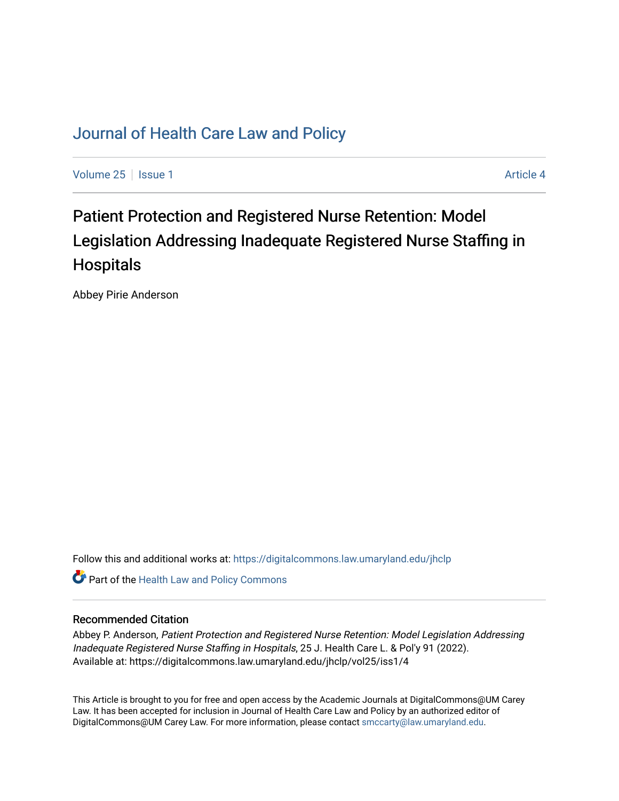# [Journal of Health Care Law and Policy](https://digitalcommons.law.umaryland.edu/jhclp)

[Volume 25](https://digitalcommons.law.umaryland.edu/jhclp/vol25) | [Issue 1](https://digitalcommons.law.umaryland.edu/jhclp/vol25/iss1) Article 4

# Patient Protection and Registered Nurse Retention: Model Legislation Addressing Inadequate Registered Nurse Staffing in **Hospitals**

Abbey Pirie Anderson

Follow this and additional works at: [https://digitalcommons.law.umaryland.edu/jhclp](https://digitalcommons.law.umaryland.edu/jhclp?utm_source=digitalcommons.law.umaryland.edu%2Fjhclp%2Fvol25%2Fiss1%2F4&utm_medium=PDF&utm_campaign=PDFCoverPages) 

Part of the [Health Law and Policy Commons](http://network.bepress.com/hgg/discipline/901?utm_source=digitalcommons.law.umaryland.edu%2Fjhclp%2Fvol25%2Fiss1%2F4&utm_medium=PDF&utm_campaign=PDFCoverPages) 

# Recommended Citation

Abbey P. Anderson, Patient Protection and Registered Nurse Retention: Model Legislation Addressing Inadequate Registered Nurse Staffing in Hospitals, 25 J. Health Care L. & Pol'y 91 (2022). Available at: https://digitalcommons.law.umaryland.edu/jhclp/vol25/iss1/4

This Article is brought to you for free and open access by the Academic Journals at DigitalCommons@UM Carey Law. It has been accepted for inclusion in Journal of Health Care Law and Policy by an authorized editor of DigitalCommons@UM Carey Law. For more information, please contact [smccarty@law.umaryland.edu.](mailto:smccarty@law.umaryland.edu)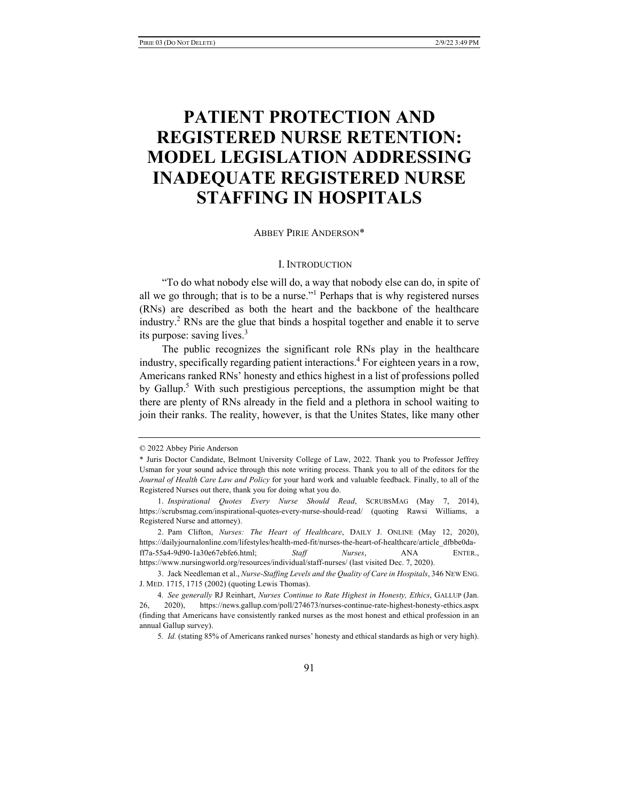# **PATIENT PROTECTION AND REGISTERED NURSE RETENTION: MODEL LEGISLATION ADDRESSING INADEQUATE REGISTERED NURSE STAFFING IN HOSPITALS**

# ABBEY PIRIE ANDERSON\*

#### I. INTRODUCTION

"To do what nobody else will do, a way that nobody else can do, in spite of all we go through; that is to be a nurse."<sup>1</sup> Perhaps that is why registered nurses (RNs) are described as both the heart and the backbone of the healthcare industry.2 RNs are the glue that binds a hospital together and enable it to serve its purpose: saving lives.<sup>3</sup>

The public recognizes the significant role RNs play in the healthcare industry, specifically regarding patient interactions.<sup>4</sup> For eighteen years in a row, Americans ranked RNs' honesty and ethics highest in a list of professions polled by Gallup.<sup>5</sup> With such prestigious perceptions, the assumption might be that there are plenty of RNs already in the field and a plethora in school waiting to join their ranks. The reality, however, is that the Unites States, like many other

<sup>© 2022</sup> Abbey Pirie Anderson

<sup>\*</sup> Juris Doctor Candidate, Belmont University College of Law, 2022. Thank you to Professor Jeffrey Usman for your sound advice through this note writing process. Thank you to all of the editors for the *Journal of Health Care Law and Policy* for your hard work and valuable feedback. Finally, to all of the Registered Nurses out there, thank you for doing what you do.

<sup>1.</sup> *Inspirational Quotes Every Nurse Should Read*, SCRUBSMAG (May 7, 2014), https://scrubsmag.com/inspirational-quotes-every-nurse-should-read/ (quoting Rawsi Williams, a Registered Nurse and attorney).

<sup>2.</sup> Pam Clifton, *Nurses: The Heart of Healthcare*, DAILY J. ONLINE (May 12, 2020), https://dailyjournalonline.com/lifestyles/health-med-fit/nurses-the-heart-of-healthcare/article\_dfbbe0daff7a-55a4-9d90-1a30e67ebfe6.html; *Staff Nurses*, ANA ENTER., https://www.nursingworld.org/resources/individual/staff-nurses/ (last visited Dec. 7, 2020).

<sup>3.</sup> Jack Needleman et al., *Nurse-Staffing Levels and the Quality of Care in Hospitals*, 346 NEW ENG. J. MED. 1715, 1715 (2002) (quoting Lewis Thomas).

<sup>4</sup>*. See generally* RJ Reinhart, *Nurses Continue to Rate Highest in Honesty, Ethics*, GALLUP (Jan. 26, 2020), https://news.gallup.com/poll/274673/nurses-continue-rate-highest-honesty-ethics.aspx (finding that Americans have consistently ranked nurses as the most honest and ethical profession in an annual Gallup survey).

<sup>5</sup>*. Id.* (stating 85% of Americans ranked nurses' honesty and ethical standards as high or very high).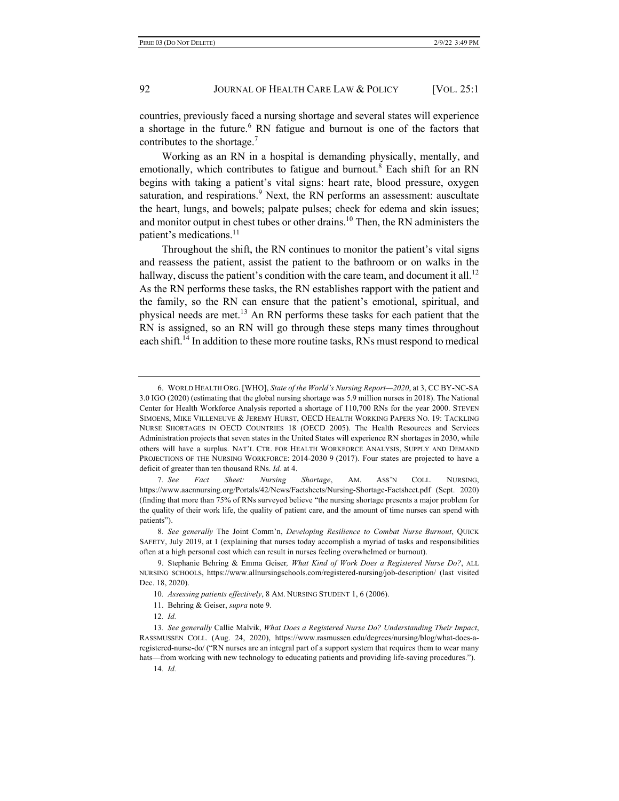countries, previously faced a nursing shortage and several states will experience a shortage in the future.<sup>6</sup> RN fatigue and burnout is one of the factors that contributes to the shortage.<sup>7</sup>

Working as an RN in a hospital is demanding physically, mentally, and emotionally, which contributes to fatigue and burnout.<sup>8</sup> Each shift for an RN begins with taking a patient's vital signs: heart rate, blood pressure, oxygen saturation, and respirations.<sup>9</sup> Next, the RN performs an assessment: auscultate the heart, lungs, and bowels; palpate pulses; check for edema and skin issues; and monitor output in chest tubes or other drains.<sup>10</sup> Then, the RN administers the patient's medications.<sup>11</sup>

Throughout the shift, the RN continues to monitor the patient's vital signs and reassess the patient, assist the patient to the bathroom or on walks in the hallway, discuss the patient's condition with the care team, and document it all.<sup>12</sup> As the RN performs these tasks, the RN establishes rapport with the patient and the family, so the RN can ensure that the patient's emotional, spiritual, and physical needs are met.<sup>13</sup> An RN performs these tasks for each patient that the RN is assigned, so an RN will go through these steps many times throughout each shift.<sup>14</sup> In addition to these more routine tasks, RNs must respond to medical

<sup>6.</sup> WORLD HEALTH ORG. [WHO], *State of the World's Nursing Report—2020*, at 3, CC BY-NC-SA 3.0 IGO (2020) (estimating that the global nursing shortage was 5.9 million nurses in 2018). The National Center for Health Workforce Analysis reported a shortage of 110,700 RNs for the year 2000. STEVEN SIMOENS, MIKE VILLENEUVE & JEREMY HURST, OECD HEALTH WORKING PAPERS NO. 19: TACKLING NURSE SHORTAGES IN OECD COUNTRIES 18 (OECD 2005). The Health Resources and Services Administration projects that seven states in the United States will experience RN shortages in 2030, while others will have a surplus. NAT'L CTR. FOR HEALTH WORKFORCE ANALYSIS, SUPPLY AND DEMAND PROJECTIONS OF THE NURSING WORKFORCE: 2014-2030 9 (2017). Four states are projected to have a deficit of greater than ten thousand RNs. *Id.* at 4.

<sup>7</sup>*. See Fact Sheet: Nursing Shortage*, AM. ASS'N COLL. NURSING, https://www.aacnnursing.org/Portals/42/News/Factsheets/Nursing-Shortage-Factsheet.pdf (Sept. 2020) (finding that more than 75% of RNs surveyed believe "the nursing shortage presents a major problem for the quality of their work life, the quality of patient care, and the amount of time nurses can spend with patients").

<sup>8</sup>*. See generally* The Joint Comm'n, *Developing Resilience to Combat Nurse Burnout*, QUICK SAFETY, July 2019, at 1 (explaining that nurses today accomplish a myriad of tasks and responsibilities often at a high personal cost which can result in nurses feeling overwhelmed or burnout).

<sup>9.</sup> Stephanie Behring & Emma Geiser*, What Kind of Work Does a Registered Nurse Do?*, ALL NURSING SCHOOLS, https://www.allnursingschools.com/registered-nursing/job-description/ (last visited Dec. 18, 2020).

<sup>10</sup>*. Assessing patients effectively*, 8 AM. NURSING STUDENT 1, 6 (2006).

<sup>11.</sup> Behring & Geiser, *supra* note 9.

<sup>12</sup>*. Id.*

<sup>13</sup>*. See generally* Callie Malvik, *What Does a Registered Nurse Do? Understanding Their Impact*, RASSMUSSEN COLL. (Aug. 24, 2020), https://www.rasmussen.edu/degrees/nursing/blog/what-does-aregistered-nurse-do/ ("RN nurses are an integral part of a support system that requires them to wear many hats—from working with new technology to educating patients and providing life-saving procedures.").

<sup>14</sup>*. Id.*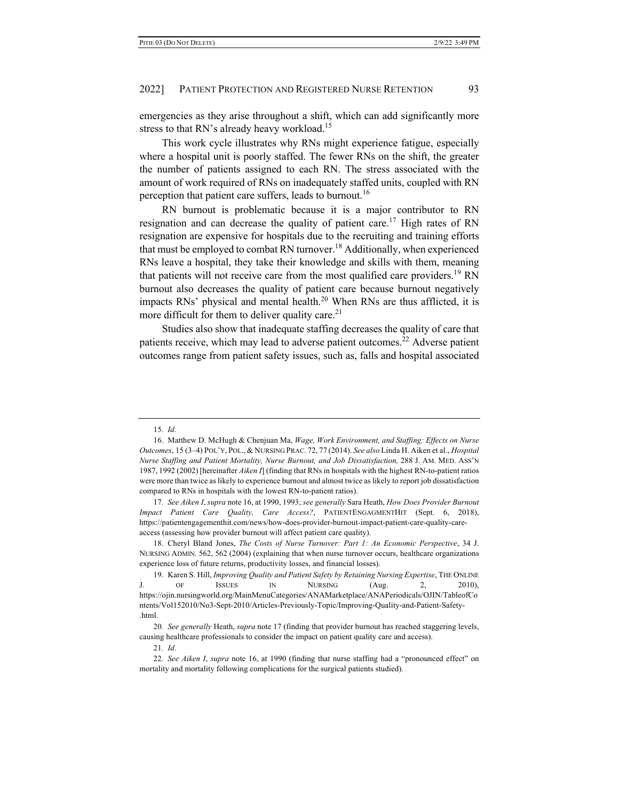emergencies as they arise throughout a shift, which can add significantly more stress to that RN's already heavy workload.<sup>15</sup>

This work cycle illustrates why RNs might experience fatigue, especially where a hospital unit is poorly staffed. The fewer RNs on the shift, the greater the number of patients assigned to each RN. The stress associated with the amount of work required of RNs on inadequately staffed units, coupled with RN perception that patient care suffers, leads to burnout.<sup>16</sup>

RN burnout is problematic because it is a major contributor to RN resignation and can decrease the quality of patient care.<sup>17</sup> High rates of RN resignation are expensive for hospitals due to the recruiting and training efforts that must be employed to combat RN turnover.<sup>18</sup> Additionally, when experienced RNs leave a hospital, they take their knowledge and skills with them, meaning that patients will not receive care from the most qualified care providers.<sup>19</sup> RN burnout also decreases the quality of patient care because burnout negatively impacts RNs' physical and mental health.<sup>20</sup> When RNs are thus afflicted, it is more difficult for them to deliver quality care.<sup>21</sup>

Studies also show that inadequate staffing decreases the quality of care that patients receive, which may lead to adverse patient outcomes.<sup>22</sup> Adverse patient outcomes range from patient safety issues, such as, falls and hospital associated

18. Cheryl Bland Jones, *The Costs of Nurse Turnover: Part 1: An Economic Perspective*, 34 J. NURSING ADMIN. 562, 562 (2004) (explaining that when nurse turnover occurs, healthcare organizations experience loss of future returns, productivity losses, and financial losses).

<sup>15</sup>*. Id.*

<sup>16.</sup> Matthew D. McHugh & Chenjuan Ma, *Wage, Work Environment, and Staffing: Effects on Nurse Outcomes*, 15 (3–4) POL'Y, POL., & NURSING PRAC. 72, 77 (2014). *See also* Linda H. Aiken et al., *Hospital Nurse Staffing and Patient Mortality, Nurse Burnout, and Job Dissatisfaction,* 288 J. AM. MED. ASS'N 1987, 1992 (2002) [hereinafter *Aiken I*] (finding that RNs in hospitals with the highest RN-to-patient ratios were more than twice as likely to experience burnout and almost twice as likely to report job dissatisfaction compared to RNs in hospitals with the lowest RN-to-patient ratios).

<sup>17</sup>*. See Aiken I*, *supra* note 16, at 1990, 1993; *see generally* Sara Heath, *How Does Provider Burnout Impact Patient Care Quality, Care Access?*, PATIENTENGAGMENTHIT (Sept. 6, 2018), https://patientengagementhit.com/news/how-does-provider-burnout-impact-patient-care-quality-careaccess (assessing how provider burnout will affect patient care quality).

<sup>19.</sup> Karen S. Hill, *Improving Quality and Patient Safety by Retaining Nursing Expertise*, THE ONLINE J. OF ISSUES IN NURSING (Aug. 2, 2010), https://ojin.nursingworld.org/MainMenuCategories/ANAMarketplace/ANAPeriodicals/OJIN/TableofCo ntents/Vol152010/No3-Sept-2010/Articles-Previously-Topic/Improving-Quality-and-Patient-Safety- .html.

<sup>20</sup>*. See generally* Heath, *supra* note 17 (finding that provider burnout has reached staggering levels, causing healthcare professionals to consider the impact on patient quality care and access).

<sup>21</sup>*. Id.*

<sup>22</sup>*. See Aiken I*, *supra* note 16, at 1990 (finding that nurse staffing had a "pronounced effect" on mortality and mortality following complications for the surgical patients studied).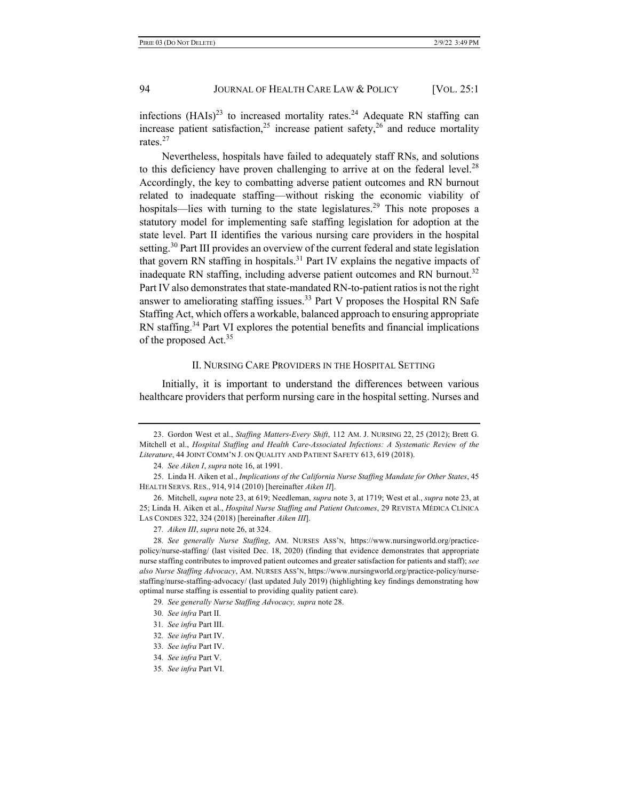infections  $(HAIs)^{23}$  to increased mortality rates.<sup>24</sup> Adequate RN staffing can increase patient satisfaction,<sup>25</sup> increase patient safety,<sup>26</sup> and reduce mortality rates.<sup>27</sup>

Nevertheless, hospitals have failed to adequately staff RNs, and solutions to this deficiency have proven challenging to arrive at on the federal level.<sup>28</sup> Accordingly, the key to combatting adverse patient outcomes and RN burnout related to inadequate staffing—without risking the economic viability of hospitals—lies with turning to the state legislatures.<sup>29</sup> This note proposes a statutory model for implementing safe staffing legislation for adoption at the state level. Part II identifies the various nursing care providers in the hospital setting.<sup>30</sup> Part III provides an overview of the current federal and state legislation that govern RN staffing in hospitals. $31$  Part IV explains the negative impacts of inadequate RN staffing, including adverse patient outcomes and RN burnout.<sup>32</sup> Part IV also demonstrates that state-mandated RN-to-patient ratios is not the right answer to ameliorating staffing issues.<sup>33</sup> Part V proposes the Hospital RN Safe Staffing Act, which offers a workable, balanced approach to ensuring appropriate RN staffing.<sup>34</sup> Part VI explores the potential benefits and financial implications of the proposed Act.<sup>35</sup>

#### II. NURSING CARE PROVIDERS IN THE HOSPITAL SETTING

Initially, it is important to understand the differences between various healthcare providers that perform nursing care in the hospital setting. Nurses and

<sup>23.</sup> Gordon West et al., *Staffing Matters-Every Shift*, 112 AM. J. NURSING 22, 25 (2012); Brett G. Mitchell et al., *Hospital Staffing and Health Care-Associated Infections: A Systematic Review of the Literature*, 44 JOINT COMM'N J. ON QUALITY AND PATIENT SAFETY 613, 619 (2018).

<sup>24</sup>*. See Aiken I*, *supra* note 16, at 1991.

<sup>25.</sup> Linda H. Aiken et al., *Implications of the California Nurse Staffing Mandate for Other States*, 45 HEALTH SERVS. RES., 914, 914 (2010) [hereinafter *Aiken II*].

<sup>26.</sup> Mitchell, *supra* note 23, at 619; Needleman, *supra* note 3, at 1719; West et al., *supra* note 23, at 25; Linda H. Aiken et al., *Hospital Nurse Staffing and Patient Outcomes*, 29 REVISTA MÉDICA CLÍNICA LAS CONDES 322, 324 (2018) [hereinafter *Aiken III*].

<sup>27</sup>*. Aiken III*, *supra* note 26, at 324.

<sup>28</sup>*. See generally Nurse Staffing*, AM. NURSES ASS'N, https://www.nursingworld.org/practicepolicy/nurse-staffing/ (last visited Dec. 18, 2020) (finding that evidence demonstrates that appropriate nurse staffing contributes to improved patient outcomes and greater satisfaction for patients and staff); *see also Nurse Staffing Advocacy*, AM. NURSES ASS'N, https://www.nursingworld.org/practice-policy/nursestaffing/nurse-staffing-advocacy/ (last updated July 2019) (highlighting key findings demonstrating how optimal nurse staffing is essential to providing quality patient care).

<sup>29</sup>*. See generally Nurse Staffing Advocacy, supra* note 28.

<sup>30</sup>*. See infra* Part II.

<sup>31</sup>*. See infra* Part III.

<sup>32</sup>*. See infra* Part IV.

<sup>33</sup>*. See infra* Part IV.

<sup>34</sup>*. See infra* Part V.

<sup>35</sup>*. See infra* Part VI.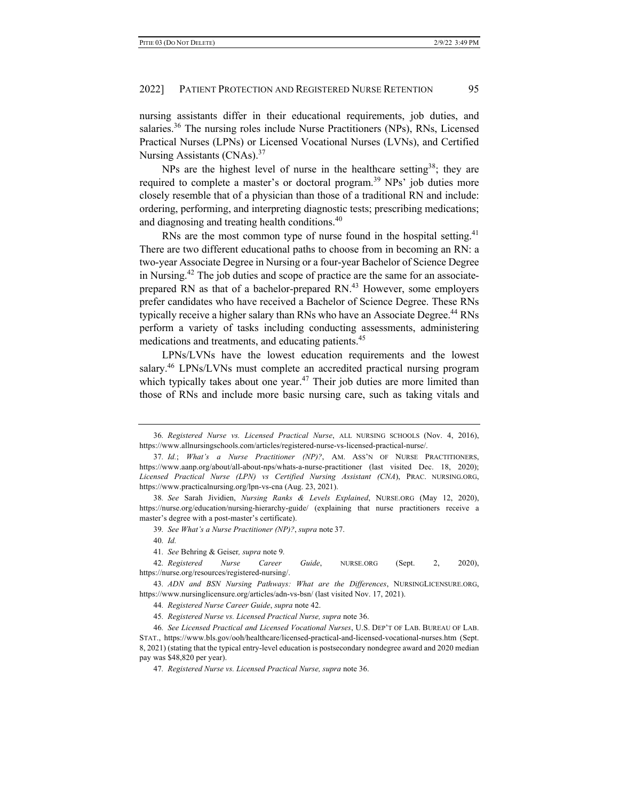nursing assistants differ in their educational requirements, job duties, and salaries.<sup>36</sup> The nursing roles include Nurse Practitioners (NPs), RNs, Licensed Practical Nurses (LPNs) or Licensed Vocational Nurses (LVNs), and Certified Nursing Assistants (CNAs).<sup>37</sup>

NPs are the highest level of nurse in the healthcare setting<sup>38</sup>; they are required to complete a master's or doctoral program.<sup>39</sup> NPs' job duties more closely resemble that of a physician than those of a traditional RN and include: ordering, performing, and interpreting diagnostic tests; prescribing medications; and diagnosing and treating health conditions.<sup>40</sup>

RNs are the most common type of nurse found in the hospital setting.<sup>41</sup> There are two different educational paths to choose from in becoming an RN: a two-year Associate Degree in Nursing or a four-year Bachelor of Science Degree in Nursing. <sup>42</sup> The job duties and scope of practice are the same for an associateprepared RN as that of a bachelor-prepared RN.<sup>43</sup> However, some employers prefer candidates who have received a Bachelor of Science Degree. These RNs typically receive a higher salary than RNs who have an Associate Degree.44 RNs perform a variety of tasks including conducting assessments, administering medications and treatments, and educating patients.<sup>45</sup>

LPNs/LVNs have the lowest education requirements and the lowest salary.<sup>46</sup> LPNs/LVNs must complete an accredited practical nursing program which typically takes about one year.<sup>47</sup> Their job duties are more limited than those of RNs and include more basic nursing care, such as taking vitals and

<sup>36</sup>*. Registered Nurse vs. Licensed Practical Nurse*, ALL NURSING SCHOOLS (Nov. 4, 2016), https://www.allnursingschools.com/articles/registered-nurse-vs-licensed-practical-nurse/.

<sup>37</sup>*. Id.*; *What's a Nurse Practitioner (NP)?*, AM. ASS'N OF NURSE PRACTITIONERS, https://www.aanp.org/about/all-about-nps/whats-a-nurse-practitioner (last visited Dec. 18, 2020); *Licensed Practical Nurse (LPN) vs Certified Nursing Assistant (CNA*), PRAC. NURSING.ORG, https://www.practicalnursing.org/lpn-vs-cna (Aug. 23, 2021).

<sup>38</sup>*. See* Sarah Jividien, *Nursing Ranks & Levels Explained*, NURSE.ORG (May 12, 2020), https://nurse.org/education/nursing-hierarchy-guide/ (explaining that nurse practitioners receive a master's degree with a post-master's certificate).

<sup>39</sup>*. See What's a Nurse Practitioner (NP)?*, *supra* note 37.

<sup>40</sup>*. Id.*

<sup>41</sup>*. See* Behring & Geiser*, supra* note 9*.*

<sup>42</sup>*. Registered Nurse Career Guide*, NURSE.ORG (Sept. 2, 2020), https://nurse.org/resources/registered-nursing/.

<sup>43</sup>*. ADN and BSN Nursing Pathways: What are the Differences*, NURSINGLICENSURE.ORG, https://www.nursinglicensure.org/articles/adn-vs-bsn/ (last visited Nov. 17, 2021).

<sup>44</sup>*. Registered Nurse Career Guide*, *supra* note 42.

<sup>45</sup>*. Registered Nurse vs. Licensed Practical Nurse, supra* note 36.

<sup>46</sup>*. See Licensed Practical and Licensed Vocational Nurses*, U.S. DEP'T OF LAB. BUREAU OF LAB. STAT., https://www.bls.gov/ooh/healthcare/licensed-practical-and-licensed-vocational-nurses.htm (Sept. 8, 2021) (stating that the typical entry-level education is postsecondary nondegree award and 2020 median pay was \$48,820 per year).

<sup>47</sup>*. Registered Nurse vs. Licensed Practical Nurse, supra* note 36.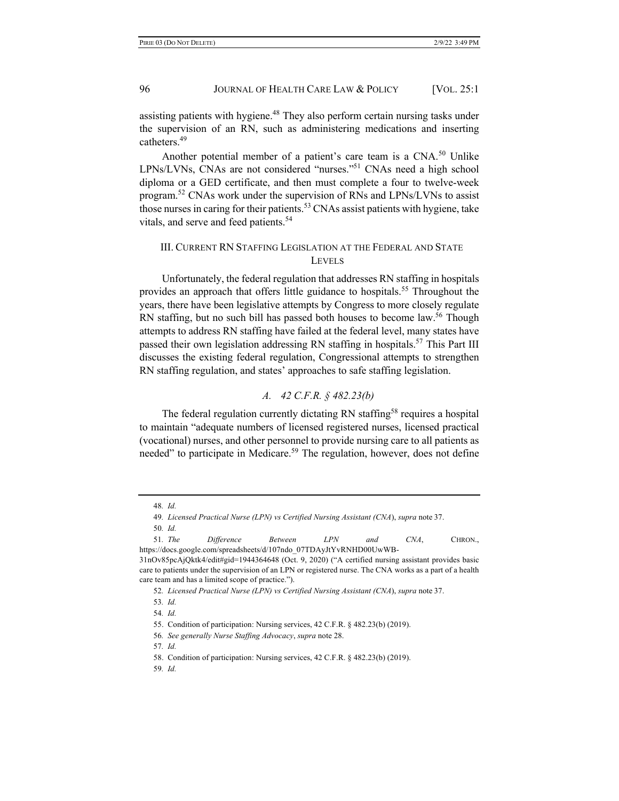assisting patients with hygiene.<sup>48</sup> They also perform certain nursing tasks under the supervision of an RN, such as administering medications and inserting catheters.49

Another potential member of a patient's care team is a CNA.<sup>50</sup> Unlike LPNs/LVNs, CNAs are not considered "nurses."51 CNAs need a high school diploma or a GED certificate, and then must complete a four to twelve-week program.52 CNAs work under the supervision of RNs and LPNs/LVNs to assist those nurses in caring for their patients.<sup>53</sup> CNAs assist patients with hygiene, take vitals, and serve and feed patients.<sup>54</sup>

# III. CURRENT RN STAFFING LEGISLATION AT THE FEDERAL AND STATE LEVELS

Unfortunately, the federal regulation that addresses RN staffing in hospitals provides an approach that offers little guidance to hospitals.<sup>55</sup> Throughout the years, there have been legislative attempts by Congress to more closely regulate RN staffing, but no such bill has passed both houses to become law.<sup>56</sup> Though attempts to address RN staffing have failed at the federal level, many states have passed their own legislation addressing RN staffing in hospitals.<sup>57</sup> This Part III discusses the existing federal regulation, Congressional attempts to strengthen RN staffing regulation, and states' approaches to safe staffing legislation.

# *A. 42 C.F.R. § 482.23(b)*

The federal regulation currently dictating RN staffing<sup>58</sup> requires a hospital to maintain "adequate numbers of licensed registered nurses, licensed practical (vocational) nurses, and other personnel to provide nursing care to all patients as needed" to participate in Medicare.<sup>59</sup> The regulation, however, does not define

59*. Id.*

<sup>48</sup>*. Id.*

<sup>49</sup>*. Licensed Practical Nurse (LPN) vs Certified Nursing Assistant (CNA*), *supra* note 37.

<sup>50</sup>*. Id.*

<sup>51</sup>*. The Difference Between LPN and CNA*, CHRON., https://docs.google.com/spreadsheets/d/107ndo\_07TDAyJtYvRNHD00UwWB-

<sup>31</sup>nOv85pcAjQktk4/edit#gid=1944364648 (Oct. 9, 2020) ("A certified nursing assistant provides basic care to patients under the supervision of an LPN or registered nurse. The CNA works as a part of a health care team and has a limited scope of practice.").

<sup>52</sup>*. Licensed Practical Nurse (LPN) vs Certified Nursing Assistant (CNA*), *supra* note 37.

<sup>53</sup>*. Id.*

<sup>54</sup>*. Id.*

<sup>55.</sup> Condition of participation: Nursing services, 42 C.F.R. § 482.23(b) (2019).

<sup>56</sup>*. See generally Nurse Staffing Advocacy*, *supra* note 28.

<sup>57</sup>*. Id.*

<sup>58.</sup> Condition of participation: Nursing services, 42 C.F.R. § 482.23(b) (2019).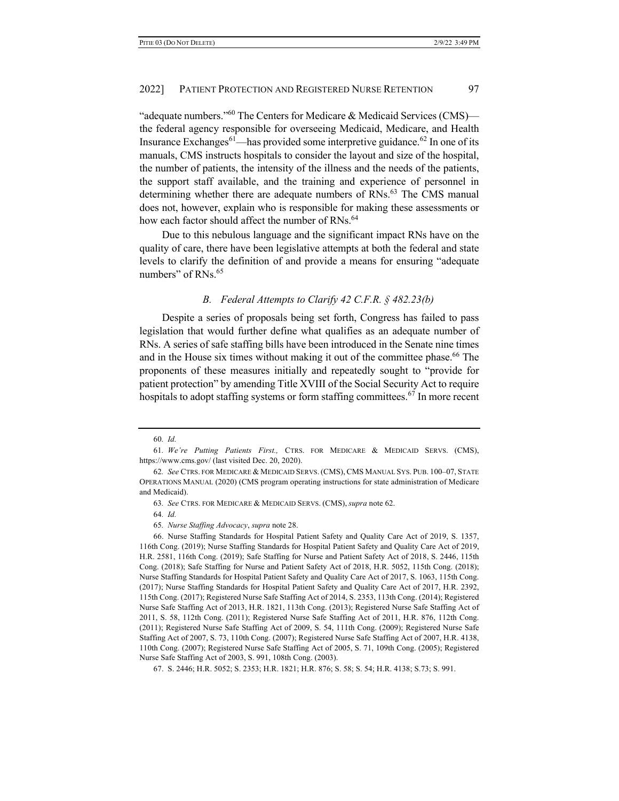"adequate numbers."<sup>60</sup> The Centers for Medicare & Medicaid Services (CMS) the federal agency responsible for overseeing Medicaid, Medicare, and Health Insurance Exchanges<sup>61</sup>—has provided some interpretive guidance.<sup>62</sup> In one of its manuals, CMS instructs hospitals to consider the layout and size of the hospital, the number of patients, the intensity of the illness and the needs of the patients, the support staff available, and the training and experience of personnel in determining whether there are adequate numbers of RNs.<sup>63</sup> The CMS manual does not, however, explain who is responsible for making these assessments or how each factor should affect the number of RNs.<sup>64</sup>

Due to this nebulous language and the significant impact RNs have on the quality of care, there have been legislative attempts at both the federal and state levels to clarify the definition of and provide a means for ensuring "adequate numbers" of RNs.<sup>65</sup>

# *B. Federal Attempts to Clarify 42 C.F.R. § 482.23(b)*

Despite a series of proposals being set forth, Congress has failed to pass legislation that would further define what qualifies as an adequate number of RNs. A series of safe staffing bills have been introduced in the Senate nine times and in the House six times without making it out of the committee phase.<sup>66</sup> The proponents of these measures initially and repeatedly sought to "provide for patient protection" by amending Title XVIII of the Social Security Act to require hospitals to adopt staffing systems or form staffing committees.<sup>67</sup> In more recent

<sup>60</sup>*. Id.*

<sup>61</sup>*. We're Putting Patients First.,* CTRS. FOR MEDICARE & MEDICAID SERVS. (CMS), https://www.cms.gov/ (last visited Dec. 20, 2020).

<sup>62</sup>*. See* CTRS. FOR MEDICARE & MEDICAID SERVS. (CMS), CMS MANUAL SYS. PUB. 100–07, STATE OPERATIONS MANUAL (2020) (CMS program operating instructions for state administration of Medicare and Medicaid).

<sup>63</sup>*. See* CTRS. FOR MEDICARE & MEDICAID SERVS. (CMS), *supra* note 62.

<sup>64</sup>*. Id.*

<sup>65</sup>*. Nurse Staffing Advocacy*, *supra* note 28.

<sup>66.</sup> Nurse Staffing Standards for Hospital Patient Safety and Quality Care Act of 2019, S. 1357, 116th Cong. (2019); Nurse Staffing Standards for Hospital Patient Safety and Quality Care Act of 2019, H.R. 2581, 116th Cong. (2019); Safe Staffing for Nurse and Patient Safety Act of 2018, S. 2446, 115th Cong. (2018); Safe Staffing for Nurse and Patient Safety Act of 2018, H.R. 5052, 115th Cong. (2018); Nurse Staffing Standards for Hospital Patient Safety and Quality Care Act of 2017, S. 1063, 115th Cong. (2017); Nurse Staffing Standards for Hospital Patient Safety and Quality Care Act of 2017, H.R. 2392, 115th Cong. (2017); Registered Nurse Safe Staffing Act of 2014, S. 2353, 113th Cong. (2014); Registered Nurse Safe Staffing Act of 2013, H.R. 1821, 113th Cong. (2013); Registered Nurse Safe Staffing Act of 2011, S. 58, 112th Cong. (2011); Registered Nurse Safe Staffing Act of 2011, H.R. 876, 112th Cong. (2011); Registered Nurse Safe Staffing Act of 2009, S. 54, 111th Cong. (2009); Registered Nurse Safe Staffing Act of 2007, S. 73, 110th Cong. (2007); Registered Nurse Safe Staffing Act of 2007, H.R. 4138, 110th Cong. (2007); Registered Nurse Safe Staffing Act of 2005, S. 71, 109th Cong. (2005); Registered Nurse Safe Staffing Act of 2003, S. 991, 108th Cong. (2003).

<sup>67.</sup> S. 2446; H.R. 5052; S. 2353; H.R. 1821; H.R. 876; S. 58; S. 54; H.R. 4138; S.73; S. 991.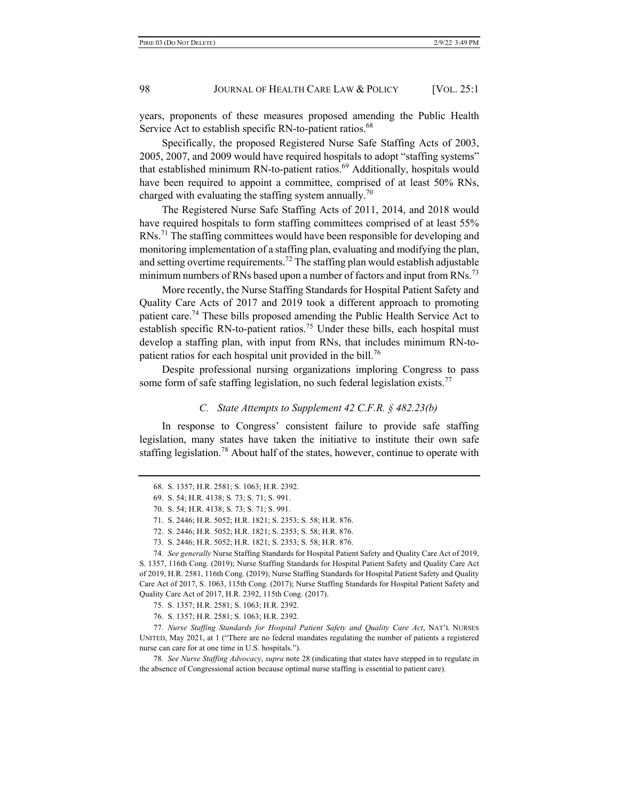years, proponents of these measures proposed amending the Public Health Service Act to establish specific RN-to-patient ratios.<sup>68</sup>

Specifically, the proposed Registered Nurse Safe Staffing Acts of 2003, 2005, 2007, and 2009 would have required hospitals to adopt "staffing systems" that established minimum RN-to-patient ratios.<sup>69</sup> Additionally, hospitals would have been required to appoint a committee, comprised of at least 50% RNs, charged with evaluating the staffing system annually.<sup>70</sup>

The Registered Nurse Safe Staffing Acts of 2011, 2014, and 2018 would have required hospitals to form staffing committees comprised of at least 55% RNs.<sup>71</sup> The staffing committees would have been responsible for developing and monitoring implementation of a staffing plan, evaluating and modifying the plan, and setting overtime requirements.<sup>72</sup> The staffing plan would establish adjustable minimum numbers of RNs based upon a number of factors and input from  $RNs$ <sup>73</sup>

More recently, the Nurse Staffing Standards for Hospital Patient Safety and Quality Care Acts of 2017 and 2019 took a different approach to promoting patient care.<sup>74</sup> These bills proposed amending the Public Health Service Act to establish specific RN-to-patient ratios.<sup>75</sup> Under these bills, each hospital must develop a staffing plan, with input from RNs, that includes minimum RN-topatient ratios for each hospital unit provided in the bill.<sup>76</sup>

Despite professional nursing organizations imploring Congress to pass some form of safe staffing legislation, no such federal legislation exists.<sup>77</sup>

#### *C. State Attempts to Supplement 42 C.F.R. § 482.23(b)*

In response to Congress' consistent failure to provide safe staffing legislation, many states have taken the initiative to institute their own safe staffing legislation.<sup>78</sup> About half of the states, however, continue to operate with

74*. See generally* Nurse Staffing Standards for Hospital Patient Safety and Quality Care Act of 2019, S. 1357, 116th Cong. (2019); Nurse Staffing Standards for Hospital Patient Safety and Quality Care Act of 2019, H.R. 2581, 116th Cong. (2019); Nurse Staffing Standards for Hospital Patient Safety and Quality Care Act of 2017, S. 1063, 115th Cong. (2017); Nurse Staffing Standards for Hospital Patient Safety and Quality Care Act of 2017, H.R. 2392, 115th Cong. (2017).

77*. Nurse Staffing Standards for Hospital Patient Safety and Quality Care Act*, NAT'L NURSES UNITED, May 2021, at 1 ("There are no federal mandates regulating the number of patients a registered nurse can care for at one time in U.S. hospitals.").

78*. See Nurse Staffing Advocacy*, *supra* note 28 (indicating that states have stepped in to regulate in the absence of Congressional action because optimal nurse staffing is essential to patient care).

<sup>68.</sup> S. 1357; H.R. 2581; S. 1063; H.R. 2392.

<sup>69.</sup> S. 54; H.R. 4138; S. 73; S. 71; S. 991.

<sup>70.</sup> S. 54; H.R. 4138; S. 73; S. 71; S. 991.

<sup>71.</sup> S. 2446; H.R. 5052; H.R. 1821; S. 2353; S. 58; H.R. 876.

<sup>72.</sup> S. 2446; H.R. 5052; H.R. 1821; S. 2353; S. 58; H.R. 876.

<sup>73.</sup> S. 2446; H.R. 5052; H.R. 1821; S. 2353; S. 58; H.R. 876.

<sup>75.</sup> S. 1357; H.R. 2581; S. 1063; H.R. 2392.

<sup>76.</sup> S. 1357; H.R. 2581; S. 1063; H.R. 2392.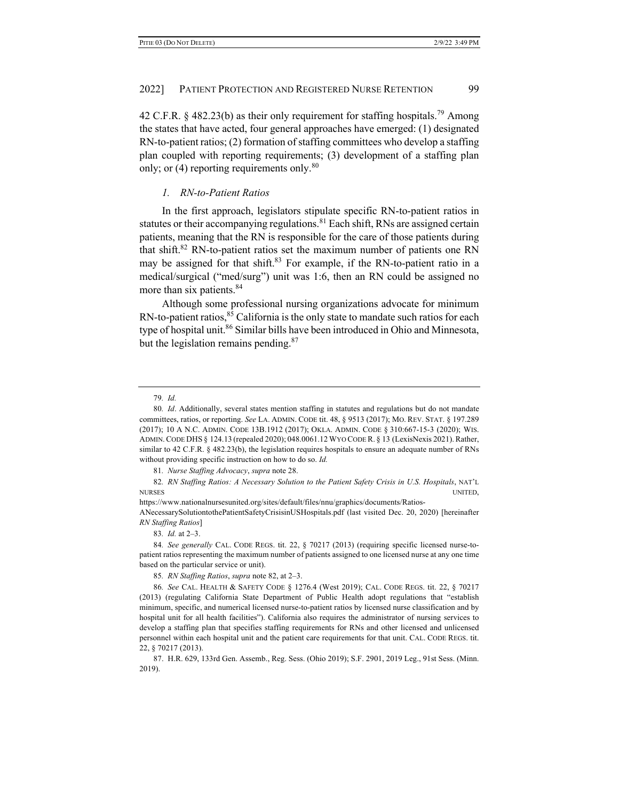42 C.F.R. § 482.23(b) as their only requirement for staffing hospitals.<sup>79</sup> Among the states that have acted, four general approaches have emerged: (1) designated RN-to-patient ratios; (2) formation of staffing committees who develop a staffing plan coupled with reporting requirements; (3) development of a staffing plan only; or  $(4)$  reporting requirements only.<sup>80</sup>

#### *1. RN-to-Patient Ratios*

In the first approach, legislators stipulate specific RN-to-patient ratios in statutes or their accompanying regulations.<sup>81</sup> Each shift, RNs are assigned certain patients, meaning that the RN is responsible for the care of those patients during that shift.<sup>82</sup> RN-to-patient ratios set the maximum number of patients one RN may be assigned for that shift. $83$  For example, if the RN-to-patient ratio in a medical/surgical ("med/surg") unit was 1:6, then an RN could be assigned no more than six patients.<sup>84</sup>

Although some professional nursing organizations advocate for minimum  $RN-to-patient ratios, <sup>85</sup> California is the only state to mandate such ratios for each$ type of hospital unit.<sup>86</sup> Similar bills have been introduced in Ohio and Minnesota, but the legislation remains pending.<sup>87</sup>

82*. RN Staffing Ratios: A Necessary Solution to the Patient Safety Crisis in U.S. Hospitals*, NAT'L NURSES UNITED,

83*. Id.* at 2–3.

84*. See generally* CAL. CODE REGS. tit. 22, § 70217 (2013) (requiring specific licensed nurse-topatient ratios representing the maximum number of patients assigned to one licensed nurse at any one time based on the particular service or unit).

85*. RN Staffing Ratios*, *supra* note 82, at 2–3.

<sup>79</sup>*. Id.*

<sup>80</sup>*. Id*. Additionally, several states mention staffing in statutes and regulations but do not mandate committees, ratios, or reporting. *See* LA. ADMIN. CODE tit. 48, § 9513 (2017); MO. REV. STAT. § 197.289 (2017); 10 A N.C. ADMIN. CODE 13B.1912 (2017); OKLA. ADMIN. CODE § 310:667-15-3 (2020); WIS. ADMIN.CODE DHS § 124.13 (repealed 2020); 048.0061.12 WYO CODE R. § 13 (LexisNexis 2021).Rather, similar to 42 C.F.R. § 482.23(b), the legislation requires hospitals to ensure an adequate number of RNs without providing specific instruction on how to do so. *Id.*

<sup>81</sup>*. Nurse Staffing Advocacy*, *supra* note 28.

https://www.nationalnursesunited.org/sites/default/files/nnu/graphics/documents/Ratios-ANecessarySolutiontothePatientSafetyCrisisinUSHospitals.pdf (last visited Dec. 20, 2020) [hereinafter *RN Staffing Ratios*]

<sup>86</sup>*. See* CAL. HEALTH & SAFETY CODE § 1276.4 (West 2019); CAL. CODE REGS. tit. 22, § 70217 (2013) (regulating California State Department of Public Health adopt regulations that "establish minimum, specific, and numerical licensed nurse-to-patient ratios by licensed nurse classification and by hospital unit for all health facilities"). California also requires the administrator of nursing services to develop a staffing plan that specifies staffing requirements for RNs and other licensed and unlicensed personnel within each hospital unit and the patient care requirements for that unit. CAL. CODE REGS. tit. 22, § 70217 (2013).

<sup>87.</sup> H.R. 629, 133rd Gen. Assemb., Reg. Sess. (Ohio 2019); S.F. 2901, 2019 Leg., 91st Sess. (Minn. 2019).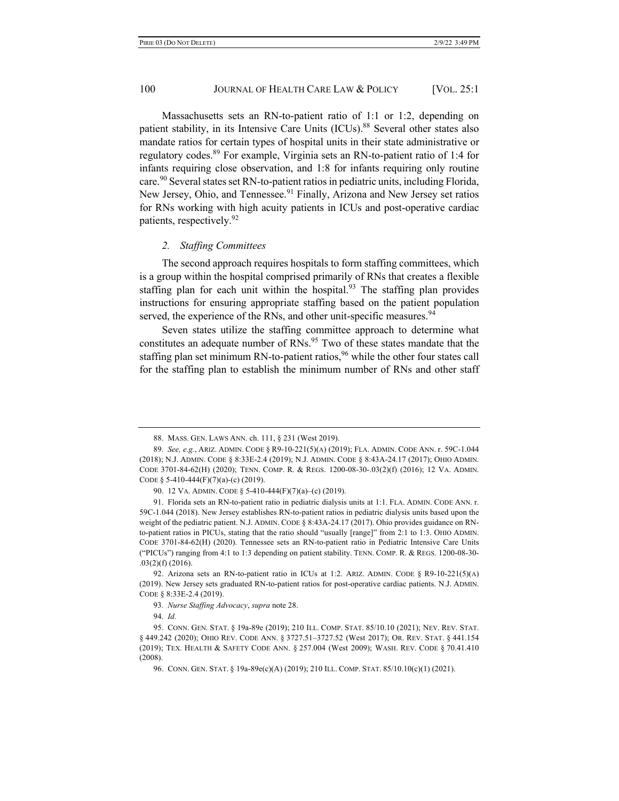Massachusetts sets an RN-to-patient ratio of 1:1 or 1:2, depending on patient stability, in its Intensive Care Units (ICUs).<sup>88</sup> Several other states also mandate ratios for certain types of hospital units in their state administrative or regulatory codes.89 For example, Virginia sets an RN-to-patient ratio of 1:4 for infants requiring close observation, and 1:8 for infants requiring only routine care.<sup>90</sup> Several states set RN-to-patient ratios in pediatric units, including Florida, New Jersey, Ohio, and Tennessee.<sup>91</sup> Finally, Arizona and New Jersey set ratios for RNs working with high acuity patients in ICUs and post-operative cardiac patients, respectively.<sup>92</sup>

# *2. Staffing Committees*

The second approach requires hospitals to form staffing committees, which is a group within the hospital comprised primarily of RNs that creates a flexible staffing plan for each unit within the hospital.<sup>93</sup> The staffing plan provides instructions for ensuring appropriate staffing based on the patient population served, the experience of the RNs, and other unit-specific measures.<sup>94</sup>

Seven states utilize the staffing committee approach to determine what constitutes an adequate number of RNs.<sup>95</sup> Two of these states mandate that the staffing plan set minimum RN-to-patient ratios,  $96$  while the other four states call for the staffing plan to establish the minimum number of RNs and other staff

<sup>88.</sup> MASS. GEN. LAWS ANN. ch. 111, § 231 (West 2019).

<sup>89</sup>*. See, e.g.*, ARIZ. ADMIN. CODE § R9-10-221(5)(A) (2019); FLA. ADMIN. CODE ANN. r. 59C-1.044 (2018); N.J. ADMIN. CODE § 8:33E-2.4 (2019); N.J. ADMIN. CODE § 8:43A-24.17 (2017); OHIO ADMIN. CODE 3701-84-62(H) (2020); TENN. COMP. R. & REGS. 1200-08-30-.03(2)(f) (2016); 12 VA. ADMIN. CODE § 5-410-444(F)(7)(a)-(c) (2019).

<sup>90.</sup> 12 VA. ADMIN. CODE § 5-410-444(F)(7)(a)–(c) (2019).

<sup>91.</sup> Florida sets an RN-to-patient ratio in pediatric dialysis units at 1:1. FLA. ADMIN. CODE ANN. r. 59C-1.044 (2018). New Jersey establishes RN-to-patient ratios in pediatric dialysis units based upon the weight of the pediatric patient. N.J. ADMIN. CODE § 8:43A-24.17 (2017). Ohio provides guidance on RNto-patient ratios in PICUs, stating that the ratio should "usually [range]" from 2:1 to 1:3. OHIO ADMIN. CODE 3701-84-62(H) (2020). Tennessee sets an RN-to-patient ratio in Pediatric Intensive Care Units ("PICUs") ranging from 4:1 to 1:3 depending on patient stability. TENN. COMP. R. & REGS. 1200-08-30- .03(2)(f) (2016).

<sup>92.</sup> Arizona sets an RN-to-patient ratio in ICUs at 1:2. ARIZ. ADMIN. CODE § R9-10-221(5)(A) (2019). New Jersey sets graduated RN-to-patient ratios for post-operative cardiac patients. N.J. ADMIN. CODE § 8:33E-2.4 (2019).

<sup>93</sup>*. Nurse Staffing Advocacy*, *supra* note 28.

<sup>94</sup>*. Id.*

<sup>95.</sup> CONN. GEN. STAT. § 19a-89e (2019); 210 ILL. COMP. STAT. 85/10.10 (2021); NEV. REV. STAT. § 449.242 (2020); OHIO REV. CODE ANN. § 3727.51–3727.52 (West 2017); OR. REV. STAT. § 441.154 (2019); TEX. HEALTH & SAFETY CODE ANN. § 257.004 (West 2009); WASH. REV. CODE § 70.41.410 (2008).

<sup>96.</sup> CONN. GEN. STAT. § 19a-89e(c)(A) (2019); 210 ILL. COMP. STAT. 85/10.10(c)(1) (2021).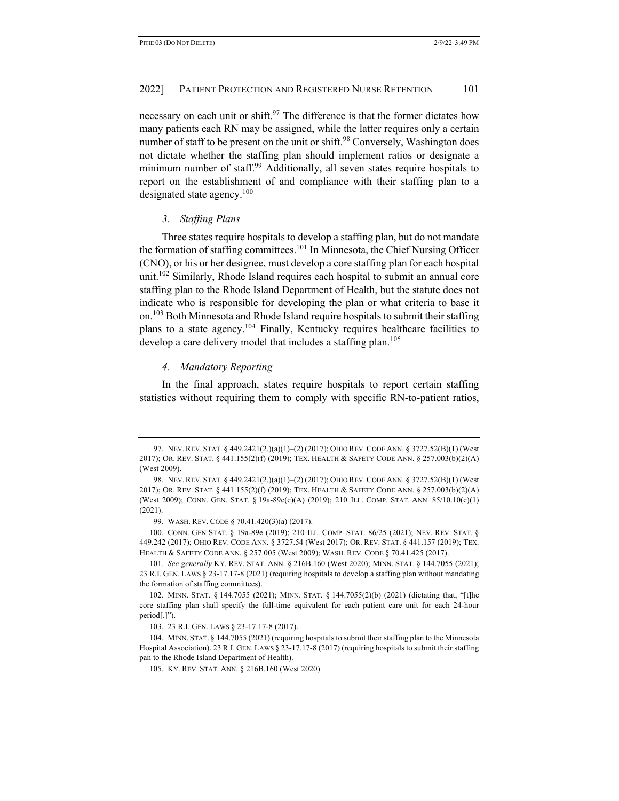necessary on each unit or shift.<sup>97</sup> The difference is that the former dictates how many patients each RN may be assigned, while the latter requires only a certain number of staff to be present on the unit or shift.<sup>98</sup> Conversely, Washington does not dictate whether the staffing plan should implement ratios or designate a minimum number of staff.<sup>99</sup> Additionally, all seven states require hospitals to report on the establishment of and compliance with their staffing plan to a designated state agency.<sup>100</sup>

#### *3. Staffing Plans*

Three states require hospitals to develop a staffing plan, but do not mandate the formation of staffing committees.<sup>101</sup> In Minnesota, the Chief Nursing Officer (CNO), or his or her designee, must develop a core staffing plan for each hospital unit.<sup>102</sup> Similarly, Rhode Island requires each hospital to submit an annual core staffing plan to the Rhode Island Department of Health, but the statute does not indicate who is responsible for developing the plan or what criteria to base it on.<sup>103</sup> Both Minnesota and Rhode Island require hospitals to submit their staffing plans to a state agency.104 Finally, Kentucky requires healthcare facilities to develop a care delivery model that includes a staffing plan.<sup>105</sup>

# *4. Mandatory Reporting*

In the final approach, states require hospitals to report certain staffing statistics without requiring them to comply with specific RN-to-patient ratios,

<sup>97.</sup> NEV.REV. STAT. § 449.2421(2.)(a)(1)–(2) (2017); OHIO REV.CODE ANN. § 3727.52(B)(1) (West 2017); OR. REV. STAT. § 441.155(2)(f) (2019); TEX. HEALTH & SAFETY CODE ANN. § 257.003(b)(2)(A) (West 2009).

<sup>98.</sup> NEV.REV. STAT. § 449.2421(2.)(a)(1)–(2) (2017); OHIO REV.CODE ANN. § 3727.52(B)(1) (West 2017); OR. REV. STAT. § 441.155(2)(f) (2019); TEX. HEALTH & SAFETY CODE ANN. § 257.003(b)(2)(A) (West 2009); CONN. GEN. STAT. § 19a-89e(c)(A) (2019); 210 ILL. COMP. STAT. ANN. 85/10.10(c)(1) (2021).

<sup>99.</sup> WASH. REV. CODE § 70.41.420(3)(a) (2017).

<sup>100.</sup> CONN. GEN STAT. § 19a-89e (2019); 210 ILL. COMP. STAT. 86/25 (2021); NEV. REV. STAT. § 449.242 (2017); OHIO REV. CODE ANN. § 3727.54 (West 2017); OR. REV. STAT. § 441.157 (2019); TEX. HEALTH & SAFETY CODE ANN. § 257.005 (West 2009); WASH. REV. CODE § 70.41.425 (2017).

<sup>101</sup>*. See generally* KY. REV. STAT. ANN. § 216B.160 (West 2020); MINN. STAT. § 144.7055 (2021); 23 R.I. GEN. LAWS § 23-17.17-8 (2021) (requiring hospitals to develop a staffing plan without mandating the formation of staffing committees).

<sup>102.</sup> MINN. STAT. § 144.7055 (2021); MINN. STAT. § 144.7055(2)(b) (2021) (dictating that, "[t]he core staffing plan shall specify the full-time equivalent for each patient care unit for each 24-hour period[.]").

<sup>103.</sup> 23 R.I. GEN. LAWS § 23-17.17-8 (2017).

<sup>104.</sup> MINN. STAT. § 144.7055 (2021) (requiring hospitals to submit their staffing plan to the Minnesota Hospital Association). 23 R.I. GEN. LAWS § 23-17.17-8 (2017) (requiring hospitals to submit their staffing pan to the Rhode Island Department of Health).

<sup>105.</sup> KY. REV. STAT. ANN. § 216B.160 (West 2020).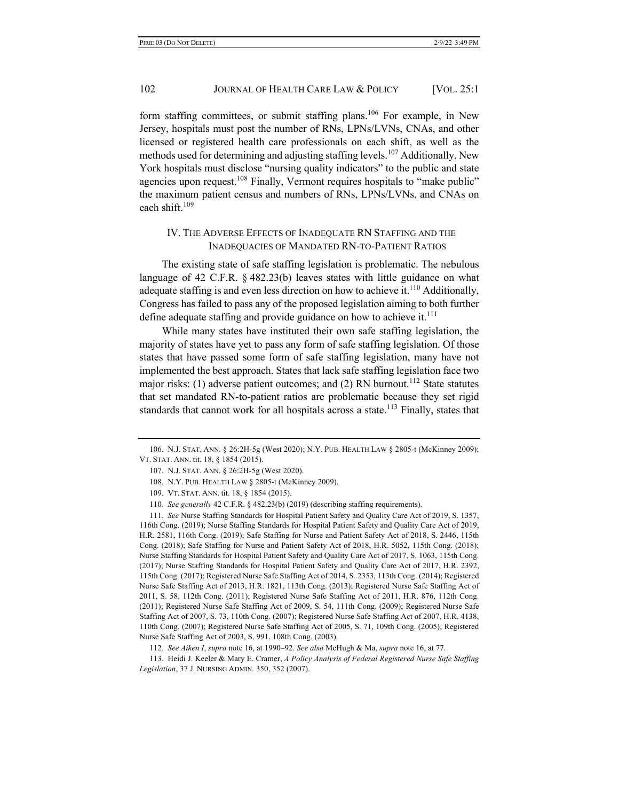form staffing committees, or submit staffing plans.<sup>106</sup> For example, in New Jersey, hospitals must post the number of RNs, LPNs/LVNs, CNAs, and other licensed or registered health care professionals on each shift, as well as the methods used for determining and adjusting staffing levels.<sup>107</sup> Additionally, New York hospitals must disclose "nursing quality indicators" to the public and state agencies upon request.<sup>108</sup> Finally, Vermont requires hospitals to "make public" the maximum patient census and numbers of RNs, LPNs/LVNs, and CNAs on each shift. $109$ 

# IV. THE ADVERSE EFFECTS OF INADEQUATE RN STAFFING AND THE INADEQUACIES OF MANDATED RN-TO-PATIENT RATIOS

The existing state of safe staffing legislation is problematic. The nebulous language of 42 C.F.R. § 482.23(b) leaves states with little guidance on what adequate staffing is and even less direction on how to achieve it.<sup>110</sup> Additionally, Congress has failed to pass any of the proposed legislation aiming to both further define adequate staffing and provide guidance on how to achieve it. $<sup>111</sup>$ </sup>

While many states have instituted their own safe staffing legislation, the majority of states have yet to pass any form of safe staffing legislation. Of those states that have passed some form of safe staffing legislation, many have not implemented the best approach. States that lack safe staffing legislation face two major risks: (1) adverse patient outcomes; and (2) RN burnout.<sup>112</sup> State statutes that set mandated RN-to-patient ratios are problematic because they set rigid standards that cannot work for all hospitals across a state.<sup>113</sup> Finally, states that

111*. See* Nurse Staffing Standards for Hospital Patient Safety and Quality Care Act of 2019, S. 1357, 116th Cong. (2019); Nurse Staffing Standards for Hospital Patient Safety and Quality Care Act of 2019, H.R. 2581, 116th Cong. (2019); Safe Staffing for Nurse and Patient Safety Act of 2018, S. 2446, 115th Cong. (2018); Safe Staffing for Nurse and Patient Safety Act of 2018, H.R. 5052, 115th Cong. (2018); Nurse Staffing Standards for Hospital Patient Safety and Quality Care Act of 2017, S. 1063, 115th Cong. (2017); Nurse Staffing Standards for Hospital Patient Safety and Quality Care Act of 2017, H.R. 2392, 115th Cong. (2017); Registered Nurse Safe Staffing Act of 2014, S. 2353, 113th Cong. (2014); Registered Nurse Safe Staffing Act of 2013, H.R. 1821, 113th Cong. (2013); Registered Nurse Safe Staffing Act of 2011, S. 58, 112th Cong. (2011); Registered Nurse Safe Staffing Act of 2011, H.R. 876, 112th Cong. (2011); Registered Nurse Safe Staffing Act of 2009, S. 54, 111th Cong. (2009); Registered Nurse Safe Staffing Act of 2007, S. 73, 110th Cong. (2007); Registered Nurse Safe Staffing Act of 2007, H.R. 4138, 110th Cong. (2007); Registered Nurse Safe Staffing Act of 2005, S. 71, 109th Cong. (2005); Registered Nurse Safe Staffing Act of 2003, S. 991, 108th Cong. (2003).

112*. See Aiken I*, *supra* note 16, at 1990–92. *See also* McHugh & Ma, *supra* note 16, at 77.

113. Heidi J. Keeler & Mary E. Cramer, *A Policy Analysis of Federal Registered Nurse Safe Staffing Legislation*, 37 J. NURSING ADMIN. 350, 352 (2007).

<sup>106.</sup> N.J. STAT. ANN. § 26:2H-5g (West 2020); N.Y. PUB. HEALTH LAW § 2805-t (McKinney 2009); VT. STAT. ANN. tit. 18, § 1854 (2015).

<sup>107.</sup> N.J. STAT. ANN. § 26:2H-5g (West 2020).

<sup>108.</sup> N.Y. PUB. HEALTH LAW § 2805-t (McKinney 2009).

<sup>109.</sup> VT. STAT. ANN. tit. 18, § 1854 (2015).

<sup>110</sup>*. See generally* 42 C.F.R. § 482.23(b) (2019) (describing staffing requirements).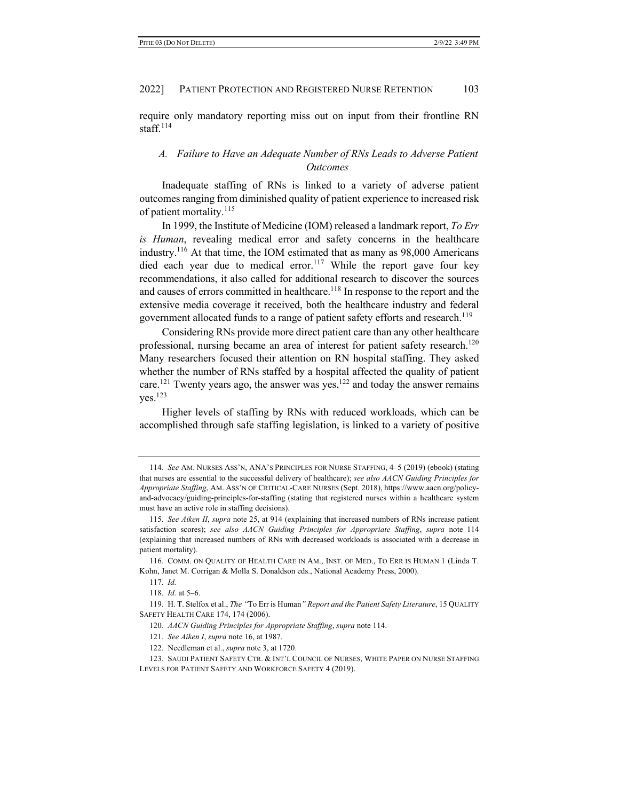require only mandatory reporting miss out on input from their frontline RN staff. $114$ 

# *A. Failure to Have an Adequate Number of RNs Leads to Adverse Patient Outcomes*

Inadequate staffing of RNs is linked to a variety of adverse patient outcomes ranging from diminished quality of patient experience to increased risk of patient mortality.<sup>115</sup>

In 1999, the Institute of Medicine (IOM) released a landmark report, *To Err is Human*, revealing medical error and safety concerns in the healthcare industry.<sup>116</sup> At that time, the IOM estimated that as many as  $98,000$  Americans died each year due to medical error.<sup>117</sup> While the report gave four key recommendations, it also called for additional research to discover the sources and causes of errors committed in healthcare.<sup>118</sup> In response to the report and the extensive media coverage it received, both the healthcare industry and federal government allocated funds to a range of patient safety efforts and research.<sup>119</sup>

Considering RNs provide more direct patient care than any other healthcare professional, nursing became an area of interest for patient safety research.<sup>120</sup> Many researchers focused their attention on RN hospital staffing. They asked whether the number of RNs staffed by a hospital affected the quality of patient care.<sup>121</sup> Twenty years ago, the answer was yes,<sup>122</sup> and today the answer remains  $ves.<sup>123</sup>$ 

Higher levels of staffing by RNs with reduced workloads, which can be accomplished through safe staffing legislation, is linked to a variety of positive

<sup>114</sup>*. See* AM. NURSES ASS'N, ANA'S PRINCIPLES FOR NURSE STAFFING, 4–5 (2019) (ebook) (stating that nurses are essential to the successful delivery of healthcare); *see also AACN Guiding Principles for Appropriate Staffing*, AM. ASS'N OF CRITICAL-CARE NURSES (Sept. 2018), https://www.aacn.org/policyand-advocacy/guiding-principles-for-staffing (stating that registered nurses within a healthcare system must have an active role in staffing decisions).

<sup>115</sup>*. See Aiken II*, *supra* note 25, at 914 (explaining that increased numbers of RNs increase patient satisfaction scores); *see also AACN Guiding Principles for Appropriate Staffing*, *supra* note 114 (explaining that increased numbers of RNs with decreased workloads is associated with a decrease in patient mortality).

<sup>116.</sup> COMM. ON QUALITY OF HEALTH CARE IN AM., INST. OF MED., TO ERR IS HUMAN 1 (Linda T. Kohn, Janet M. Corrigan & Molla S. Donaldson eds., National Academy Press, 2000).

<sup>117</sup>*. Id.*

<sup>118</sup>*. Id.* at 5–6.

<sup>119.</sup> H. T. Stelfox et al., *The "*To Err is Human*" Report and the Patient Safety Literature*, 15 QUALITY SAFETY HEALTH CARE 174, 174 (2006).

<sup>120</sup>*. AACN Guiding Principles for Appropriate Staffing*, *supra* note 114.

<sup>121</sup>*. See Aiken I*, *supra* note 16, at 1987.

<sup>122.</sup> Needleman et al., *supra* note 3, at 1720.

<sup>123.</sup> SAUDI PATIENT SAFETY CTR. & INT'L COUNCIL OF NURSES, WHITE PAPER ON NURSE STAFFING LEVELS FOR PATIENT SAFETY AND WORKFORCE SAFETY 4 (2019).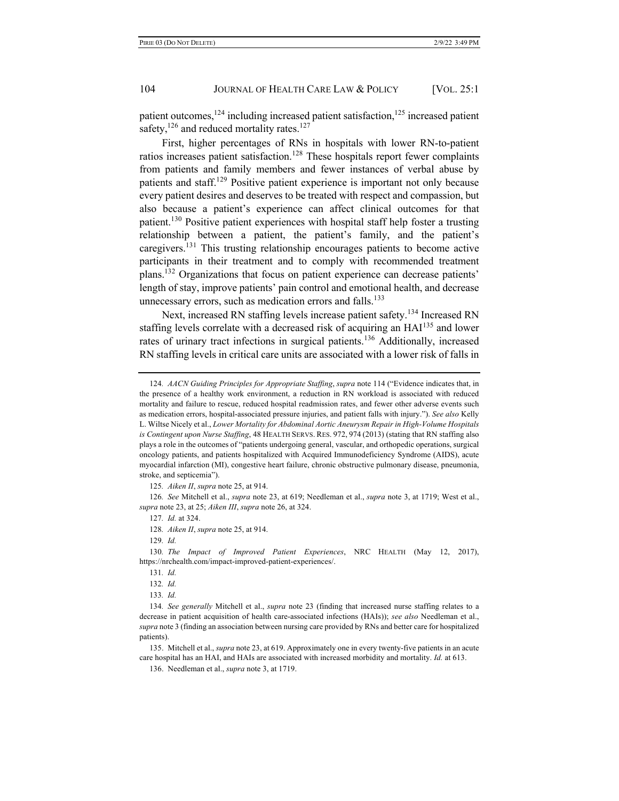patient outcomes, $124$  including increased patient satisfaction, $125$  increased patient safety, $126$  and reduced mortality rates. $127$ 

First, higher percentages of RNs in hospitals with lower RN-to-patient ratios increases patient satisfaction.<sup>128</sup> These hospitals report fewer complaints from patients and family members and fewer instances of verbal abuse by patients and staff.<sup>129</sup> Positive patient experience is important not only because every patient desires and deserves to be treated with respect and compassion, but also because a patient's experience can affect clinical outcomes for that patient.130 Positive patient experiences with hospital staff help foster a trusting relationship between a patient, the patient's family, and the patient's caregivers.<sup>131</sup> This trusting relationship encourages patients to become active participants in their treatment and to comply with recommended treatment plans.132 Organizations that focus on patient experience can decrease patients' length of stay, improve patients' pain control and emotional health, and decrease unnecessary errors, such as medication errors and falls.<sup>133</sup>

Next, increased RN staffing levels increase patient safety.<sup>134</sup> Increased RN staffing levels correlate with a decreased risk of acquiring an  $HA<sup>135</sup>$  and lower rates of urinary tract infections in surgical patients.<sup>136</sup> Additionally, increased RN staffing levels in critical care units are associated with a lower risk of falls in

125*. Aiken II*, *supra* note 25, at 914.

126*. See* Mitchell et al., *supra* note 23, at 619; Needleman et al., *supra* note 3, at 1719; West et al., *supra* note 23, at 25; *Aiken III*, *supra* note 26, at 324.

127*. Id.* at 324.

128*. Aiken II*, *supra* note 25, at 914.

129*. Id.*

130*. The Impact of Improved Patient Experiences*, NRC HEALTH (May 12, 2017), https://nrchealth.com/impact-improved-patient-experiences/.

135. Mitchell et al., *supra* note 23, at 619. Approximately one in every twenty-five patients in an acute care hospital has an HAI, and HAIs are associated with increased morbidity and mortality. *Id.* at 613.

<sup>124</sup>*. AACN Guiding Principles for Appropriate Staffing*, *supra* note 114 ("Evidence indicates that, in the presence of a healthy work environment, a reduction in RN workload is associated with reduced mortality and failure to rescue, reduced hospital readmission rates, and fewer other adverse events such as medication errors, hospital-associated pressure injuries, and patient falls with injury."). *See also* Kelly L. Wiltse Nicely et al., *Lower Mortality for Abdominal Aortic Aneurysm Repair in High-Volume Hospitals is Contingent upon Nurse Staffing*, 48 HEALTH SERVS. RES. 972, 974 (2013) (stating that RN staffing also plays a role in the outcomes of "patients undergoing general, vascular, and orthopedic operations, surgical oncology patients, and patients hospitalized with Acquired Immunodeficiency Syndrome (AIDS), acute myocardial infarction (MI), congestive heart failure, chronic obstructive pulmonary disease, pneumonia, stroke, and septicemia").

<sup>131</sup>*. Id.*

<sup>132</sup>*. Id.*

<sup>133</sup>*. Id.*

<sup>134</sup>*. See generally* Mitchell et al., *supra* note 23 (finding that increased nurse staffing relates to a decrease in patient acquisition of health care-associated infections (HAIs)); *see also* Needleman et al., *supra* note 3 (finding an association between nursing care provided by RNs and better care for hospitalized patients).

<sup>136.</sup> Needleman et al., *supra* note 3, at 1719.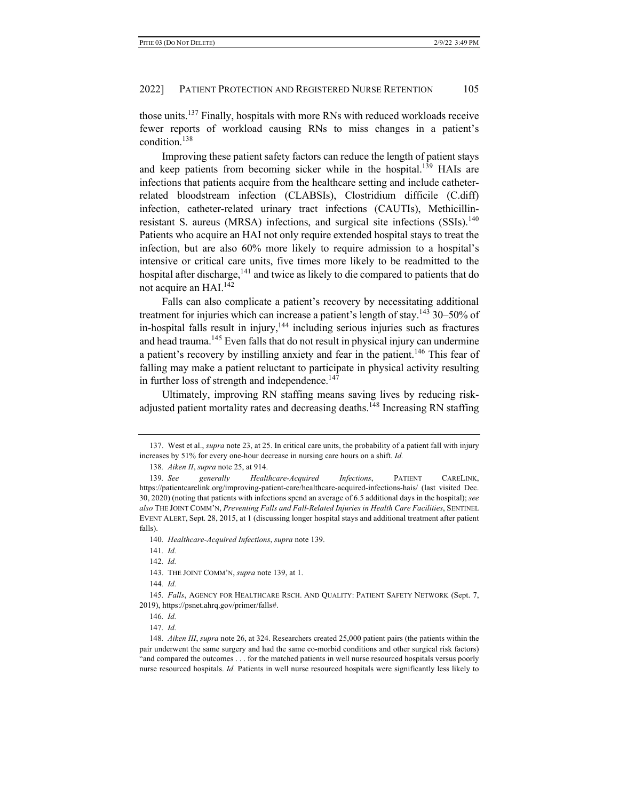those units.137 Finally, hospitals with more RNs with reduced workloads receive fewer reports of workload causing RNs to miss changes in a patient's condition.138

Improving these patient safety factors can reduce the length of patient stays and keep patients from becoming sicker while in the hospital.<sup>139</sup> HAIs are infections that patients acquire from the healthcare setting and include catheterrelated bloodstream infection (CLABSIs), Clostridium difficile (C.diff) infection, catheter-related urinary tract infections (CAUTIs), Methicillinresistant S. aureus (MRSA) infections, and surgical site infections  $(SSIs)$ .<sup>140</sup> Patients who acquire an HAI not only require extended hospital stays to treat the infection, but are also 60% more likely to require admission to a hospital's intensive or critical care units, five times more likely to be readmitted to the hospital after discharge,<sup>141</sup> and twice as likely to die compared to patients that do not acquire an HAI.142

Falls can also complicate a patient's recovery by necessitating additional treatment for injuries which can increase a patient's length of stay.<sup>143</sup> 30–50% of in-hospital falls result in injury,  $144$  including serious injuries such as fractures and head trauma.<sup>145</sup> Even falls that do not result in physical injury can undermine a patient's recovery by instilling anxiety and fear in the patient.<sup>146</sup> This fear of falling may make a patient reluctant to participate in physical activity resulting in further loss of strength and independence.<sup>147</sup>

Ultimately, improving RN staffing means saving lives by reducing riskadjusted patient mortality rates and decreasing deaths.<sup>148</sup> Increasing RN staffing

138*. Aiken II*, *supra* note 25, at 914.

<sup>137.</sup> West et al., *supra* note 23, at 25. In critical care units, the probability of a patient fall with injury increases by 51% for every one-hour decrease in nursing care hours on a shift. *Id.*

<sup>139</sup>*. See generally Healthcare-Acquired Infections*, PATIENT CARELINK, https://patientcarelink.org/improving-patient-care/healthcare-acquired-infections-hais/ (last visited Dec. 30, 2020) (noting that patients with infections spend an average of 6.5 additional days in the hospital); *see also* THE JOINT COMM'N, *Preventing Falls and Fall-Related Injuries in Health Care Facilities*, SENTINEL EVENT ALERT, Sept. 28, 2015, at 1 (discussing longer hospital stays and additional treatment after patient falls).

<sup>140</sup>*. Healthcare-Acquired Infections*, *supra* note 139.

<sup>141</sup>*. Id.*

<sup>142</sup>*. Id.*

<sup>143.</sup> THE JOINT COMM'N, *supra* note 139, at 1.

<sup>144</sup>*. Id.*

<sup>145</sup>*. Falls*, AGENCY FOR HEALTHCARE RSCH. AND QUALITY: PATIENT SAFETY NETWORK (Sept. 7, 2019), https://psnet.ahrq.gov/primer/falls#.

<sup>146</sup>*. Id.*

<sup>147</sup>*. Id.*

<sup>148</sup>*. Aiken III*, *supra* note 26, at 324. Researchers created 25,000 patient pairs (the patients within the pair underwent the same surgery and had the same co-morbid conditions and other surgical risk factors) "and compared the outcomes . . . for the matched patients in well nurse resourced hospitals versus poorly nurse resourced hospitals. *Id.* Patients in well nurse resourced hospitals were significantly less likely to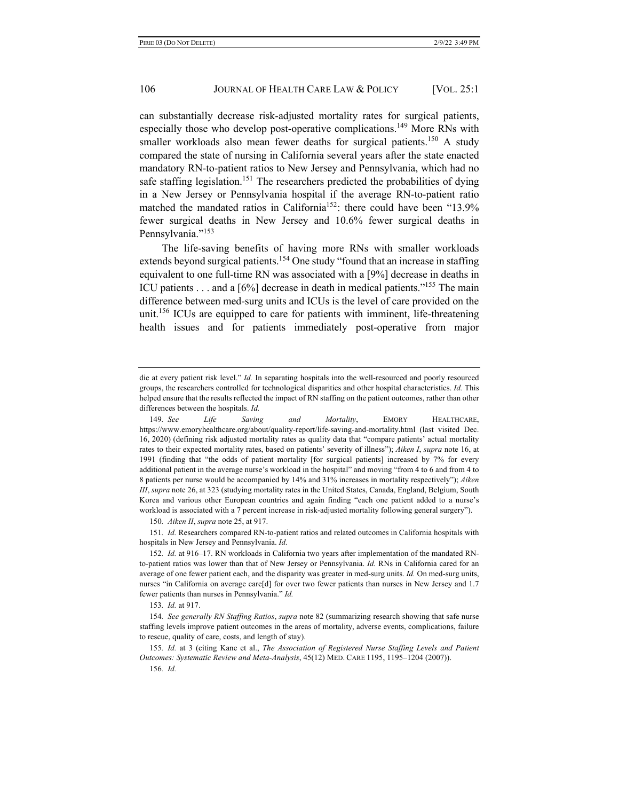can substantially decrease risk-adjusted mortality rates for surgical patients, especially those who develop post-operative complications.<sup>149</sup> More RNs with smaller workloads also mean fewer deaths for surgical patients.<sup>150</sup> A study compared the state of nursing in California several years after the state enacted mandatory RN-to-patient ratios to New Jersey and Pennsylvania, which had no safe staffing legislation.<sup>151</sup> The researchers predicted the probabilities of dying in a New Jersey or Pennsylvania hospital if the average RN-to-patient ratio matched the mandated ratios in California<sup>152</sup>: there could have been "13.9% fewer surgical deaths in New Jersey and 10.6% fewer surgical deaths in Pennsylvania."<sup>153</sup>

The life-saving benefits of having more RNs with smaller workloads extends beyond surgical patients.<sup>154</sup> One study "found that an increase in staffing equivalent to one full-time RN was associated with a [9%] decrease in deaths in ICU patients . . . and a [6%] decrease in death in medical patients."155 The main difference between med-surg units and ICUs is the level of care provided on the unit.<sup>156</sup> ICUs are equipped to care for patients with imminent, life-threatening health issues and for patients immediately post-operative from major

150*. Aiken II*, *supra* note 25, at 917.

151*. Id.* Researchers compared RN-to-patient ratios and related outcomes in California hospitals with hospitals in New Jersey and Pennsylvania. *Id.*

155*. Id.* at 3 (citing Kane et al., *The Association of Registered Nurse Staffing Levels and Patient Outcomes: Systematic Review and Meta-Analysis*, 45(12) MED. CARE 1195, 1195–1204 (2007)). 156*. Id.*

die at every patient risk level." *Id.* In separating hospitals into the well-resourced and poorly resourced groups, the researchers controlled for technological disparities and other hospital characteristics. *Id.* This helped ensure that the results reflected the impact of RN staffing on the patient outcomes, rather than other differences between the hospitals. *Id.*

<sup>149</sup>*. See Life Saving and Mortality*, EMORY HEALTHCARE, https://www.emoryhealthcare.org/about/quality-report/life-saving-and-mortality.html (last visited Dec. 16, 2020) (defining risk adjusted mortality rates as quality data that "compare patients' actual mortality rates to their expected mortality rates, based on patients' severity of illness"); *Aiken I*, *supra* note 16, at 1991 (finding that "the odds of patient mortality [for surgical patients] increased by 7% for every additional patient in the average nurse's workload in the hospital" and moving "from 4 to 6 and from 4 to 8 patients per nurse would be accompanied by 14% and 31% increases in mortality respectively"); *Aiken III*, *supra* note 26, at 323 (studying mortality rates in the United States, Canada, England, Belgium, South Korea and various other European countries and again finding "each one patient added to a nurse's workload is associated with a 7 percent increase in risk-adjusted mortality following general surgery").

<sup>152</sup>*. Id.* at 916–17. RN workloads in California two years after implementation of the mandated RNto-patient ratios was lower than that of New Jersey or Pennsylvania. *Id.* RNs in California cared for an average of one fewer patient each, and the disparity was greater in med-surg units. *Id.* On med-surg units, nurses "in California on average care[d] for over two fewer patients than nurses in New Jersey and 1.7 fewer patients than nurses in Pennsylvania." *Id.*

<sup>153</sup>*. Id.* at 917.

<sup>154</sup>*. See generally RN Staffing Ratios*, *supra* note 82 (summarizing research showing that safe nurse staffing levels improve patient outcomes in the areas of mortality, adverse events, complications, failure to rescue, quality of care, costs, and length of stay).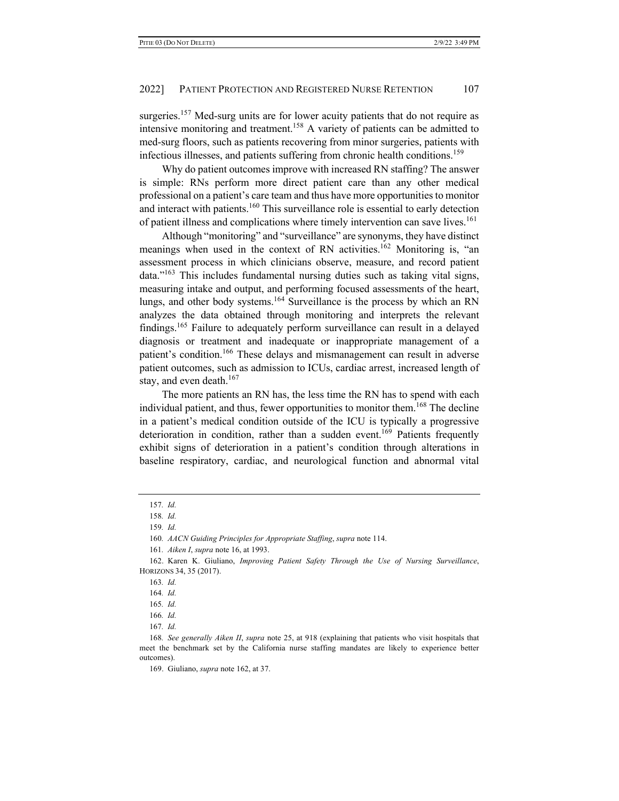surgeries.<sup>157</sup> Med-surg units are for lower acuity patients that do not require as intensive monitoring and treatment.<sup>158</sup> A variety of patients can be admitted to med-surg floors, such as patients recovering from minor surgeries, patients with infectious illnesses, and patients suffering from chronic health conditions.<sup>159</sup>

Why do patient outcomes improve with increased RN staffing? The answer is simple: RNs perform more direct patient care than any other medical professional on a patient's care team and thus have more opportunities to monitor and interact with patients.<sup>160</sup> This surveillance role is essential to early detection of patient illness and complications where timely intervention can save lives.<sup>161</sup>

Although "monitoring" and "surveillance" are synonyms, they have distinct meanings when used in the context of RN activities.<sup>162</sup> Monitoring is, "an assessment process in which clinicians observe, measure, and record patient data."<sup>163</sup> This includes fundamental nursing duties such as taking vital signs, measuring intake and output, and performing focused assessments of the heart, lungs, and other body systems.<sup>164</sup> Surveillance is the process by which an RN analyzes the data obtained through monitoring and interprets the relevant findings.165 Failure to adequately perform surveillance can result in a delayed diagnosis or treatment and inadequate or inappropriate management of a patient's condition.<sup>166</sup> These delays and mismanagement can result in adverse patient outcomes, such as admission to ICUs, cardiac arrest, increased length of stay, and even death. $167$ 

The more patients an RN has, the less time the RN has to spend with each individual patient, and thus, fewer opportunities to monitor them.<sup>168</sup> The decline in a patient's medical condition outside of the ICU is typically a progressive deterioration in condition, rather than a sudden event.<sup>169</sup> Patients frequently exhibit signs of deterioration in a patient's condition through alterations in baseline respiratory, cardiac, and neurological function and abnormal vital

<sup>157</sup>*. Id.*

<sup>158</sup>*. Id.*

<sup>159</sup>*. Id.*

<sup>160</sup>*. AACN Guiding Principles for Appropriate Staffing*, *supra* note 114.

<sup>161</sup>*. Aiken I*, *supra* note 16, at 1993.

<sup>162.</sup> Karen K. Giuliano, *Improving Patient Safety Through the Use of Nursing Surveillance*, HORIZONS 34, 35 (2017).

<sup>163</sup>*. Id.*

<sup>164</sup>*. Id.*

<sup>165</sup>*. Id.*

<sup>166</sup>*. Id.*

<sup>167</sup>*. Id.*

<sup>168</sup>*. See generally Aiken II*, *supra* note 25, at 918 (explaining that patients who visit hospitals that meet the benchmark set by the California nurse staffing mandates are likely to experience better outcomes).

<sup>169.</sup> Giuliano, *supra* note 162, at 37.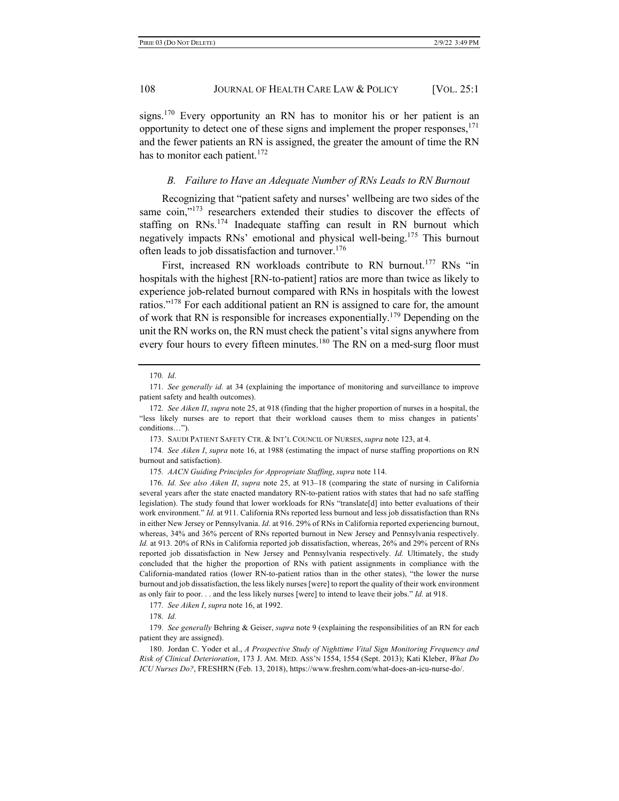signs.<sup>170</sup> Every opportunity an RN has to monitor his or her patient is an opportunity to detect one of these signs and implement the proper responses,  $171$ and the fewer patients an RN is assigned, the greater the amount of time the RN has to monitor each patient.<sup>172</sup>

## *B. Failure to Have an Adequate Number of RNs Leads to RN Burnout*

Recognizing that "patient safety and nurses' wellbeing are two sides of the same coin,"<sup>173</sup> researchers extended their studies to discover the effects of staffing on RNs.<sup>174</sup> Inadequate staffing can result in RN burnout which negatively impacts RNs' emotional and physical well-being.<sup>175</sup> This burnout often leads to job dissatisfaction and turnover.<sup>176</sup>

First, increased RN workloads contribute to RN burnout.<sup>177</sup> RNs "in hospitals with the highest [RN-to-patient] ratios are more than twice as likely to experience job-related burnout compared with RNs in hospitals with the lowest ratios."<sup>178</sup> For each additional patient an RN is assigned to care for, the amount of work that RN is responsible for increases exponentially.<sup>179</sup> Depending on the unit the RN works on, the RN must check the patient's vital signs anywhere from every four hours to every fifteen minutes.<sup>180</sup> The RN on a med-surg floor must

<sup>170</sup>*. Id.*

<sup>171</sup>*. See generally id.* at 34 (explaining the importance of monitoring and surveillance to improve patient safety and health outcomes).

<sup>172</sup>*. See Aiken II*, *supra* note 25, at 918 (finding that the higher proportion of nurses in a hospital, the "less likely nurses are to report that their workload causes them to miss changes in patients' conditions…").

<sup>173.</sup> SAUDI PATIENT SAFETY CTR. & INT'L COUNCIL OF NURSES, *supra* note 123, at 4.

<sup>174</sup>*. See Aiken I*, *supra* note 16, at 1988 (estimating the impact of nurse staffing proportions on RN burnout and satisfaction).

<sup>175</sup>*. AACN Guiding Principles for Appropriate Staffing*, *supra* note 114.

<sup>176</sup>*. Id. See also Aiken II*, *supra* note 25, at 913–18 (comparing the state of nursing in California several years after the state enacted mandatory RN-to-patient ratios with states that had no safe staffing legislation). The study found that lower workloads for RNs "translate[d] into better evaluations of their work environment." *Id.* at 911. California RNs reported less burnout and less job dissatisfaction than RNs in either New Jersey or Pennsylvania. *Id.* at 916. 29% of RNs in California reported experiencing burnout, whereas, 34% and 36% percent of RNs reported burnout in New Jersey and Pennsylvania respectively. *Id.* at 913*.* 20% of RNs in California reported job dissatisfaction, whereas, 26% and 29% percent of RNs reported job dissatisfaction in New Jersey and Pennsylvania respectively. *Id.* Ultimately, the study concluded that the higher the proportion of RNs with patient assignments in compliance with the California-mandated ratios (lower RN-to-patient ratios than in the other states), "the lower the nurse burnout and job dissatisfaction, the less likely nurses [were] to report the quality of their work environment as only fair to poor. . . and the less likely nurses [were] to intend to leave their jobs." *Id.* at 918.

<sup>177</sup>*. See Aiken I*, *supra* note 16, at 1992.

<sup>178</sup>*. Id.*

<sup>179</sup>*. See generally* Behring & Geiser, *supra* note 9 (explaining the responsibilities of an RN for each patient they are assigned).

<sup>180.</sup> Jordan C. Yoder et al., *A Prospective Study of Nighttime Vital Sign Monitoring Frequency and Risk of Clinical Deterioration*, 173 J. AM. MED. ASS'N 1554, 1554 (Sept. 2013); Kati Kleber, *What Do ICU Nurses Do?*, FRESHRN (Feb. 13, 2018), https://www.freshrn.com/what-does-an-icu-nurse-do/.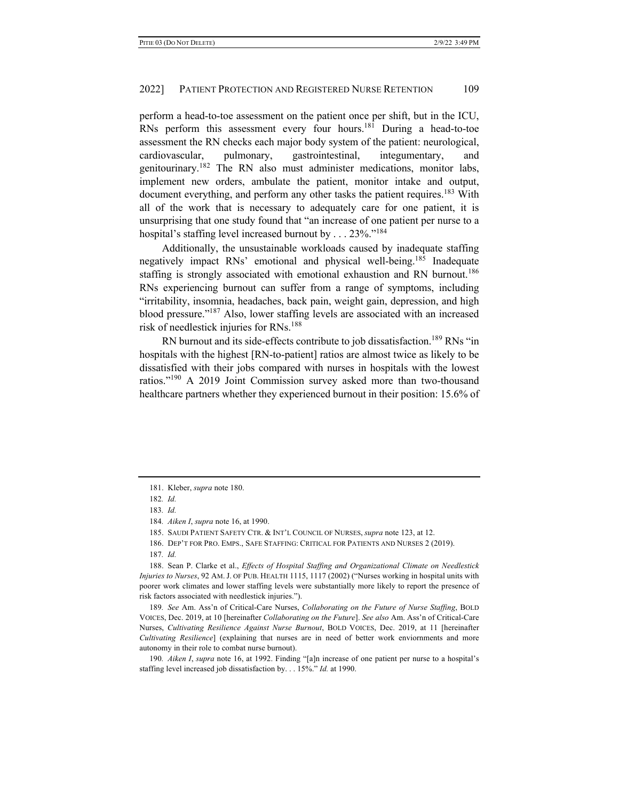perform a head-to-toe assessment on the patient once per shift, but in the ICU, RNs perform this assessment every four hours.<sup>181</sup> During a head-to-toe assessment the RN checks each major body system of the patient: neurological, cardiovascular, pulmonary, gastrointestinal, integumentary, and genitourinary.<sup>182</sup> The RN also must administer medications, monitor labs, implement new orders, ambulate the patient, monitor intake and output, document everything, and perform any other tasks the patient requires.<sup>183</sup> With all of the work that is necessary to adequately care for one patient, it is unsurprising that one study found that "an increase of one patient per nurse to a hospital's staffing level increased burnout by . . . 23%."<sup>184</sup>

Additionally, the unsustainable workloads caused by inadequate staffing negatively impact RNs' emotional and physical well-being.<sup>185</sup> Inadequate staffing is strongly associated with emotional exhaustion and RN burnout.<sup>186</sup> RNs experiencing burnout can suffer from a range of symptoms, including "irritability, insomnia, headaches, back pain, weight gain, depression, and high blood pressure."187 Also, lower staffing levels are associated with an increased risk of needlestick injuries for RNs.<sup>188</sup>

RN burnout and its side-effects contribute to job dissatisfaction.<sup>189</sup> RNs "in hospitals with the highest [RN-to-patient] ratios are almost twice as likely to be dissatisfied with their jobs compared with nurses in hospitals with the lowest ratios."<sup>190</sup> A 2019 Joint Commission survey asked more than two-thousand healthcare partners whether they experienced burnout in their position: 15.6% of

186. DEP'T FOR PRO. EMPS., SAFE STAFFING: CRITICAL FOR PATIENTS AND NURSES 2 (2019).

188. Sean P. Clarke et al., *Effects of Hospital Staffing and Organizational Climate on Needlestick Injuries to Nurses*, 92 AM. J. OF PUB. HEALTH 1115, 1117 (2002) ("Nurses working in hospital units with poorer work climates and lower staffing levels were substantially more likely to report the presence of risk factors associated with needlestick injuries.").

189*. See* Am. Ass'n of Critical-Care Nurses, *Collaborating on the Future of Nurse Staffing*, BOLD VOICES, Dec. 2019, at 10 [hereinafter *Collaborating on the Future*]. *See also* Am. Ass'n of Critical-Care Nurses, *Cultivating Resilience Against Nurse Burnout*, BOLD VOICES, Dec. 2019, at 11 [hereinafter *Cultivating Resilience*] (explaining that nurses are in need of better work enviornments and more autonomy in their role to combat nurse burnout).

190*. Aiken I*, *supra* note 16, at 1992. Finding "[a]n increase of one patient per nurse to a hospital's staffing level increased job dissatisfaction by. . . 15%." *Id.* at 1990.

<sup>181.</sup> Kleber, *supra* note 180.

<sup>182</sup>*. Id.*

<sup>183</sup>*. Id.*

<sup>184</sup>*. Aiken I*, *supra* note 16, at 1990.

<sup>185.</sup> SAUDI PATIENT SAFETY CTR. & INT'L COUNCIL OF NURSES, *supra* note 123, at 12.

<sup>187</sup>*. Id.*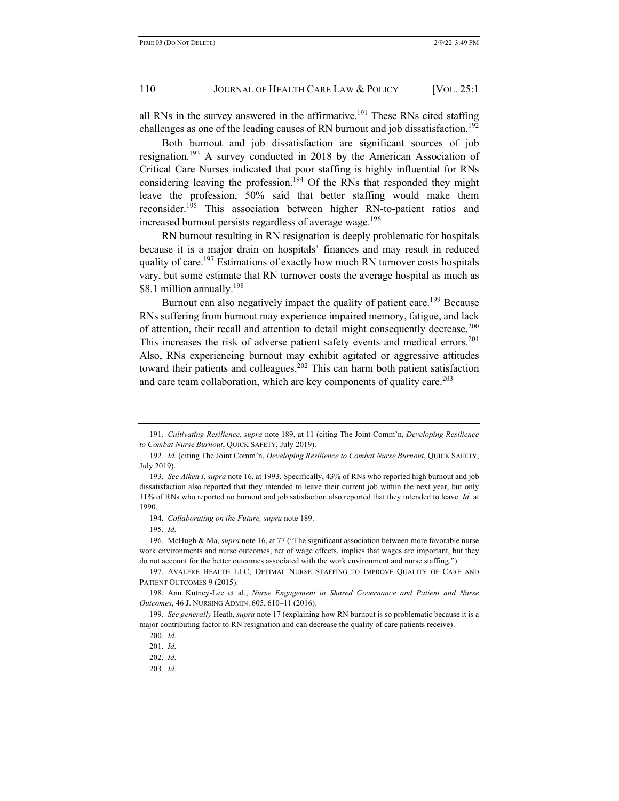all RNs in the survey answered in the affirmative.<sup>191</sup> These RNs cited staffing challenges as one of the leading causes of RN burnout and job dissatisfaction.<sup>192</sup>

Both burnout and job dissatisfaction are significant sources of job resignation.193 A survey conducted in 2018 by the American Association of Critical Care Nurses indicated that poor staffing is highly influential for RNs considering leaving the profession.<sup>194</sup> Of the RNs that responded they might leave the profession, 50% said that better staffing would make them reconsider.195 This association between higher RN-to-patient ratios and increased burnout persists regardless of average wage.<sup>196</sup>

RN burnout resulting in RN resignation is deeply problematic for hospitals because it is a major drain on hospitals' finances and may result in reduced quality of care.<sup>197</sup> Estimations of exactly how much RN turnover costs hospitals vary, but some estimate that RN turnover costs the average hospital as much as \$8.1 million annually.<sup>198</sup>

Burnout can also negatively impact the quality of patient care.<sup>199</sup> Because RNs suffering from burnout may experience impaired memory, fatigue, and lack of attention, their recall and attention to detail might consequently decrease.<sup>200</sup> This increases the risk of adverse patient safety events and medical errors.<sup>201</sup> Also, RNs experiencing burnout may exhibit agitated or aggressive attitudes toward their patients and colleagues.<sup>202</sup> This can harm both patient satisfaction and care team collaboration, which are key components of quality care.<sup>203</sup>

<sup>191</sup>*. Cultivating Resilience*, *supra* note 189, at 11 (citing The Joint Comm'n, *Developing Resilience to Combat Nurse Burnout*, QUICK SAFETY, July 2019).

<sup>192</sup>*. Id.* (citing The Joint Comm'n, *Developing Resilience to Combat Nurse Burnout*, QUICK SAFETY, July 2019).

<sup>193</sup>*. See Aiken I*, *supra* note 16, at 1993. Specifically, 43% of RNs who reported high burnout and job dissatisfaction also reported that they intended to leave their current job within the next year, but only 11% of RNs who reported no burnout and job satisfaction also reported that they intended to leave. *Id.* at 1990.

<sup>194</sup>*. Collaborating on the Future, supra* note 189.

<sup>195</sup>*. Id.*

<sup>196.</sup> McHugh & Ma, *supra* note 16, at 77 ("The significant association between more favorable nurse work environments and nurse outcomes, net of wage effects, implies that wages are important, but they do not account for the better outcomes associated with the work environment and nurse staffing.").

<sup>197.</sup> AVALERE HEALTH LLC, OPTIMAL NURSE STAFFING TO IMPROVE QUALITY OF CARE AND PATIENT OUTCOMES 9 (2015).

<sup>198.</sup> Ann Kutney-Lee et al., *Nurse Engagement in Shared Governance and Patient and Nurse Outcomes*, 46 J. NURSING ADMIN. 605, 610–11 (2016).

<sup>199</sup>*. See generally* Heath, *supra* note 17 (explaining how RN burnout is so problematic because it is a major contributing factor to RN resignation and can decrease the quality of care patients receive).

<sup>200</sup>*. Id.*

<sup>201</sup>*. Id.*

<sup>202</sup>*. Id.*

<sup>203</sup>*. Id.*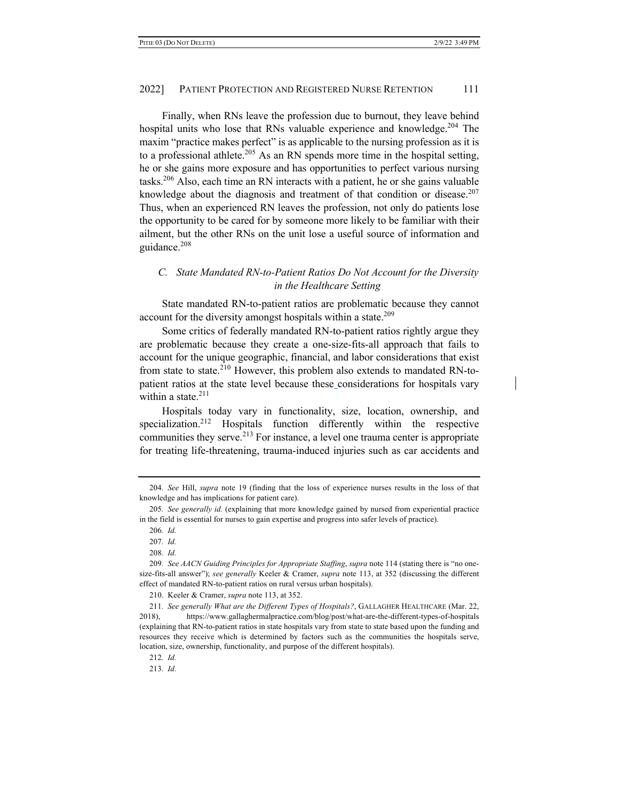Finally, when RNs leave the profession due to burnout, they leave behind hospital units who lose that RNs valuable experience and knowledge.<sup>204</sup> The maxim "practice makes perfect" is as applicable to the nursing profession as it is to a professional athlete.<sup>205</sup> As an RN spends more time in the hospital setting, he or she gains more exposure and has opportunities to perfect various nursing tasks.206 Also, each time an RN interacts with a patient, he or she gains valuable knowledge about the diagnosis and treatment of that condition or disease.<sup>207</sup> Thus, when an experienced RN leaves the profession, not only do patients lose the opportunity to be cared for by someone more likely to be familiar with their ailment, but the other RNs on the unit lose a useful source of information and guidance.<sup>208</sup>

# *C. State Mandated RN-to-Patient Ratios Do Not Account for the Diversity in the Healthcare Setting*

State mandated RN-to-patient ratios are problematic because they cannot account for the diversity amongst hospitals within a state.<sup>209</sup>

Some critics of federally mandated RN-to-patient ratios rightly argue they are problematic because they create a one-size-fits-all approach that fails to account for the unique geographic, financial, and labor considerations that exist from state to state.<sup>210</sup> However, this problem also extends to mandated RN-topatient ratios at the state level because these considerations for hospitals vary within a state.<sup>211</sup>

Hospitals today vary in functionality, size, location, ownership, and specialization.<sup>212</sup> Hospitals function differently within the respective communities they serve.<sup>213</sup> For instance, a level one trauma center is appropriate for treating life-threatening, trauma-induced injuries such as car accidents and

210. Keeler & Cramer, *supra* note 113, at 352.

211*. See generally What are the Different Types of Hospitals?*, GALLAGHER HEALTHCARE (Mar. 22, 2018), https://www.gallaghermalpractice.com/blog/post/what-are-the-different-types-of-hospitals (explaining that RN-to-patient ratios in state hospitals vary from state to state based upon the funding and resources they receive which is determined by factors such as the communities the hospitals serve, location, size, ownership, functionality, and purpose of the different hospitals).

<sup>204</sup>*. See* Hill, *supra* note 19 (finding that the loss of experience nurses results in the loss of that knowledge and has implications for patient care).

<sup>205</sup>*. See generally id.* (explaining that more knowledge gained by nursed from experiential practice in the field is essential for nurses to gain expertise and progress into safer levels of practice).

<sup>206</sup>*. Id.*

<sup>207</sup>*. Id.*

<sup>208</sup>*. Id.*

<sup>209</sup>*. See AACN Guiding Principles for Appropriate Staffing*, *supra* note 114 (stating there is "no onesize-fits-all answer"); *see generally* Keeler & Cramer, *supra* note 113, at 352 (discussing the different effect of mandated RN-to-patient ratios on rural versus urban hospitals).

<sup>212</sup>*. Id.*

<sup>213</sup>*. Id.*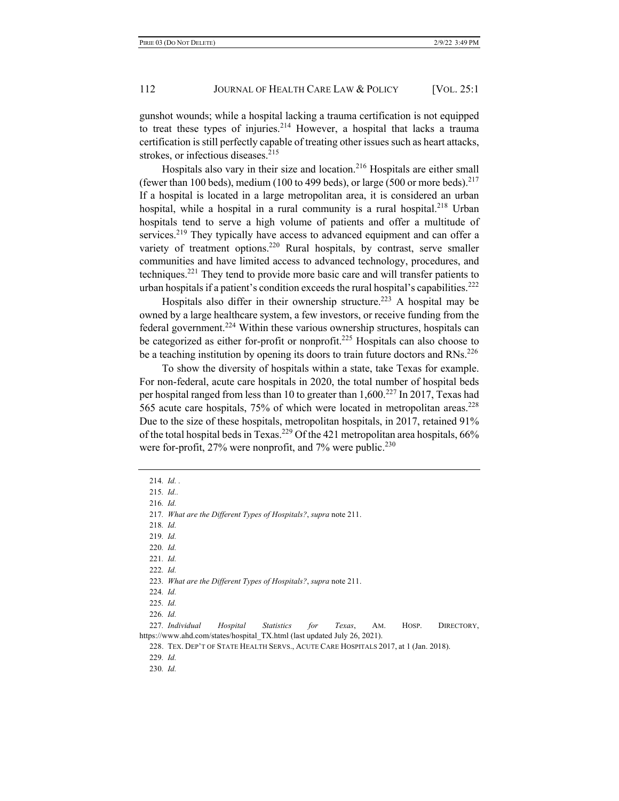gunshot wounds; while a hospital lacking a trauma certification is not equipped to treat these types of injuries. $2^{14}$  However, a hospital that lacks a trauma certification is still perfectly capable of treating other issues such as heart attacks, strokes, or infectious diseases.<sup>215</sup>

Hospitals also vary in their size and location.<sup>216</sup> Hospitals are either small (fewer than 100 beds), medium (100 to 499 beds), or large (500 or more beds).<sup>217</sup> If a hospital is located in a large metropolitan area, it is considered an urban hospital, while a hospital in a rural community is a rural hospital.<sup>218</sup> Urban hospitals tend to serve a high volume of patients and offer a multitude of services.<sup>219</sup> They typically have access to advanced equipment and can offer a variety of treatment options.<sup>220</sup> Rural hospitals, by contrast, serve smaller communities and have limited access to advanced technology, procedures, and techniques.221 They tend to provide more basic care and will transfer patients to urban hospitals if a patient's condition exceeds the rural hospital's capabilities.<sup>222</sup>

Hospitals also differ in their ownership structure.<sup>223</sup> A hospital may be owned by a large healthcare system, a few investors, or receive funding from the federal government.224 Within these various ownership structures, hospitals can be categorized as either for-profit or nonprofit.<sup>225</sup> Hospitals can also choose to be a teaching institution by opening its doors to train future doctors and RNs.<sup>226</sup>

To show the diversity of hospitals within a state, take Texas for example. For non-federal, acute care hospitals in 2020, the total number of hospital beds per hospital ranged from less than 10 to greater than  $1,600$ <sup>227</sup> In 2017, Texas had 565 acute care hospitals,  $75\%$  of which were located in metropolitan areas.<sup>228</sup> Due to the size of these hospitals, metropolitan hospitals, in 2017, retained 91% of the total hospital beds in Texas.<sup>229</sup> Of the 421 metropolitan area hospitals,  $66\%$ were for-profit,  $27\%$  were nonprofit, and  $7\%$  were public.<sup>230</sup>

<sup>214</sup>*. Id. .*

<sup>215</sup>*. Id..*

<sup>216</sup>*. Id.*

<sup>217</sup>*. What are the Different Types of Hospitals?*, *supra* note 211.

<sup>218</sup>*. Id.*

<sup>219</sup>*. Id.*

<sup>220</sup>*. Id.*

<sup>221</sup>*. Id.*

<sup>222</sup>*. Id.*

<sup>223</sup>*. What are the Different Types of Hospitals?*, *supra* note 211.

<sup>224</sup>*. Id.*

<sup>225</sup>*. Id.*

<sup>226</sup>*. Id.*

<sup>227</sup>*. Individual Hospital Statistics for Texas*, AM. HOSP. DIRECTORY, https://www.ahd.com/states/hospital\_TX.html (last updated July 26, 2021).

<sup>228.</sup> TEX. DEP'T OF STATE HEALTH SERVS., ACUTE CARE HOSPITALS 2017, at 1 (Jan. 2018).

<sup>229</sup>*. Id.*

<sup>230</sup>*. Id.*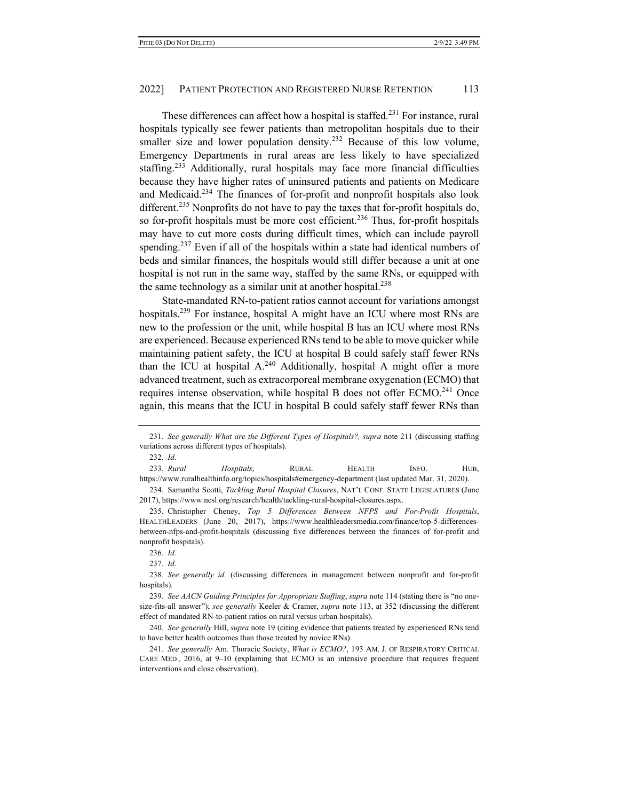These differences can affect how a hospital is staffed.<sup>231</sup> For instance, rural hospitals typically see fewer patients than metropolitan hospitals due to their smaller size and lower population density.<sup>232</sup> Because of this low volume, Emergency Departments in rural areas are less likely to have specialized staffing.<sup>233</sup> Additionally, rural hospitals may face more financial difficulties because they have higher rates of uninsured patients and patients on Medicare and Medicaid.<sup>234</sup> The finances of for-profit and nonprofit hospitals also look different.<sup>235</sup> Nonprofits do not have to pay the taxes that for-profit hospitals do, so for-profit hospitals must be more cost efficient.<sup>236</sup> Thus, for-profit hospitals may have to cut more costs during difficult times, which can include payroll spending.<sup>237</sup> Even if all of the hospitals within a state had identical numbers of beds and similar finances, the hospitals would still differ because a unit at one hospital is not run in the same way, staffed by the same RNs, or equipped with the same technology as a similar unit at another hospital.<sup>238</sup>

State-mandated RN-to-patient ratios cannot account for variations amongst hospitals.<sup>239</sup> For instance, hospital A might have an ICU where most RNs are new to the profession or the unit, while hospital B has an ICU where most RNs are experienced. Because experienced RNs tend to be able to move quicker while maintaining patient safety, the ICU at hospital B could safely staff fewer RNs than the ICU at hospital  $A^{240}$  Additionally, hospital A might offer a more advanced treatment, such as extracorporeal membrane oxygenation (ECMO) that requires intense observation, while hospital B does not offer ECMO.<sup>241</sup> Once again, this means that the ICU in hospital B could safely staff fewer RNs than

234. Samantha Scotti, *Tackling Rural Hospital Closures*, NAT'L CONF. STATE LEGISLATURES (June 2017), https://www.ncsl.org/research/health/tackling-rural-hospital-closures.aspx.

235. Christopher Cheney, *Top 5 Differences Between NFPS and For-Profit Hospitals*, HEALTHLEADERS (June 20, 2017), https://www.healthleadersmedia.com/finance/top-5-differencesbetween-nfps-and-profit-hospitals (discussing five differences between the finances of for-profit and nonprofit hospitals).

239*. See AACN Guiding Principles for Appropriate Staffing*, *supra* note 114 (stating there is "no onesize-fits-all answer"); *see generally* Keeler & Cramer, *supra* note 113, at 352 (discussing the different effect of mandated RN-to-patient ratios on rural versus urban hospitals).

240*. See generally* Hill, *supra* note 19 (citing evidence that patients treated by experienced RNs tend to have better health outcomes than those treated by novice RNs).

241*. See generally* Am. Thoracic Society, *What is ECMO?*, 193 AM. J. OF RESPIRATORY CRITICAL CARE MED., 2016, at 9–10 (explaining that ECMO is an intensive procedure that requires frequent interventions and close observation).

<sup>231</sup>*. See generally What are the Different Types of Hospitals?, supra* note 211 (discussing staffing variations across different types of hospitals).

<sup>232</sup>*. Id.*

<sup>233</sup>*. Rural Hospitals*, RURAL HEALTH INFO. HUB, https://www.ruralhealthinfo.org/topics/hospitals#emergency-department (last updated Mar. 31, 2020).

<sup>236</sup>*. Id.*

<sup>237</sup>*. Id.*

<sup>238</sup>*. See generally id.* (discussing differences in management between nonprofit and for-profit hospitals)*.*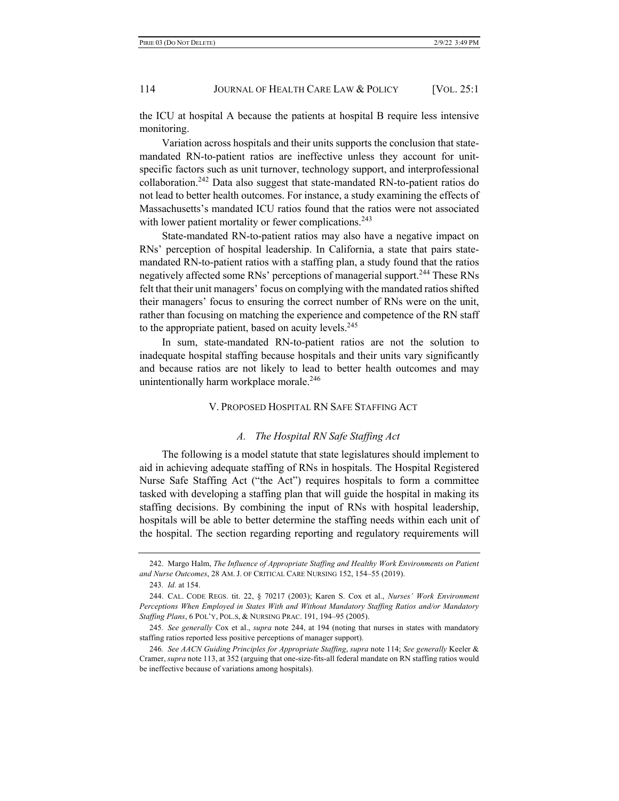the ICU at hospital A because the patients at hospital B require less intensive monitoring.

Variation across hospitals and their units supports the conclusion that statemandated RN-to-patient ratios are ineffective unless they account for unitspecific factors such as unit turnover, technology support, and interprofessional collaboration.<sup>242</sup> Data also suggest that state-mandated RN-to-patient ratios do not lead to better health outcomes. For instance, a study examining the effects of Massachusetts's mandated ICU ratios found that the ratios were not associated with lower patient mortality or fewer complications.<sup>243</sup>

State-mandated RN-to-patient ratios may also have a negative impact on RNs' perception of hospital leadership. In California, a state that pairs statemandated RN-to-patient ratios with a staffing plan, a study found that the ratios negatively affected some RNs' perceptions of managerial support.<sup>244</sup> These RNs felt that their unit managers' focus on complying with the mandated ratios shifted their managers' focus to ensuring the correct number of RNs were on the unit, rather than focusing on matching the experience and competence of the RN staff to the appropriate patient, based on acuity levels.<sup>245</sup>

In sum, state-mandated RN-to-patient ratios are not the solution to inadequate hospital staffing because hospitals and their units vary significantly and because ratios are not likely to lead to better health outcomes and may unintentionally harm workplace morale.<sup>246</sup>

# V. PROPOSED HOSPITAL RN SAFE STAFFING ACT

# *A. The Hospital RN Safe Staffing Act*

The following is a model statute that state legislatures should implement to aid in achieving adequate staffing of RNs in hospitals. The Hospital Registered Nurse Safe Staffing Act ("the Act") requires hospitals to form a committee tasked with developing a staffing plan that will guide the hospital in making its staffing decisions. By combining the input of RNs with hospital leadership, hospitals will be able to better determine the staffing needs within each unit of the hospital. The section regarding reporting and regulatory requirements will

<sup>242.</sup> Margo Halm, *The Influence of Appropriate Staffing and Healthy Work Environments on Patient and Nurse Outcomes*, 28 AM. J. OF CRITICAL CARE NURSING 152, 154–55 (2019).

<sup>243</sup>*. Id.* at 154.

<sup>244.</sup> CAL. CODE REGS. tit. 22, § 70217 (2003); Karen S. Cox et al., *Nurses' Work Environment Perceptions When Employed in States With and Without Mandatory Staffing Ratios and/or Mandatory Staffing Plans*, 6 POL'Y, POL.S, & NURSING PRAC. 191, 194–95 (2005).

<sup>245</sup>*. See generally* Cox et al., *supra* note 244, at 194 (noting that nurses in states with mandatory staffing ratios reported less positive perceptions of manager support).

<sup>246</sup>*. See AACN Guiding Principles for Appropriate Staffing*, *supra* note 114; *See generally* Keeler & Cramer, *supra* note 113, at 352 (arguing that one-size-fits-all federal mandate on RN staffing ratios would be ineffective because of variations among hospitals).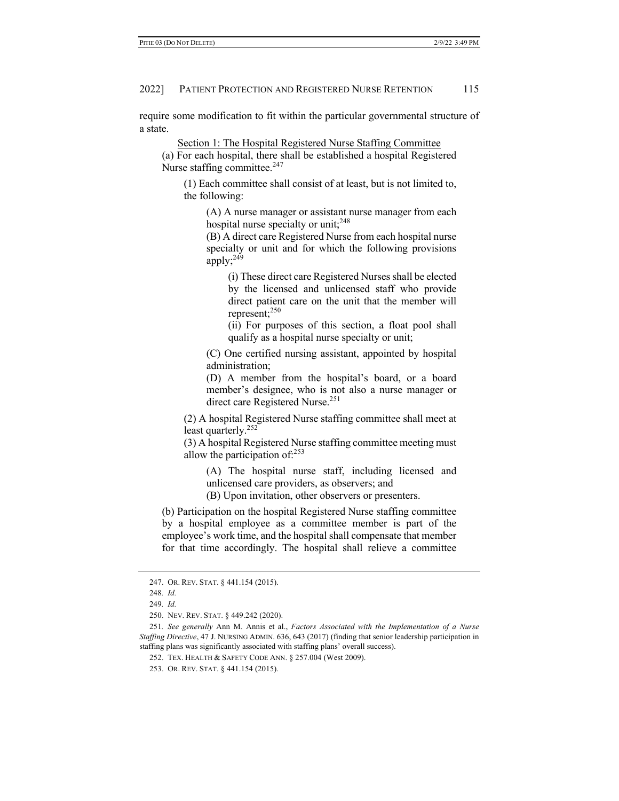require some modification to fit within the particular governmental structure of a state.

Section 1: The Hospital Registered Nurse Staffing Committee

(a) For each hospital, there shall be established a hospital Registered Nurse staffing committee.<sup>247</sup>

(1) Each committee shall consist of at least, but is not limited to, the following:

(A) A nurse manager or assistant nurse manager from each hospital nurse specialty or unit;  $248$ 

(B) A direct care Registered Nurse from each hospital nurse specialty or unit and for which the following provisions apply;<sup>249</sup>

(i) These direct care Registered Nurses shall be elected by the licensed and unlicensed staff who provide direct patient care on the unit that the member will represent;<sup>250</sup>

(ii) For purposes of this section, a float pool shall qualify as a hospital nurse specialty or unit;

(C) One certified nursing assistant, appointed by hospital administration;

(D) A member from the hospital's board, or a board member's designee, who is not also a nurse manager or direct care Registered Nurse.<sup>251</sup>

(2) A hospital Registered Nurse staffing committee shall meet at least quarterly.<sup>252</sup>

(3) A hospital Registered Nurse staffing committee meeting must allow the participation of: $253$ 

(A) The hospital nurse staff, including licensed and unlicensed care providers, as observers; and

(B) Upon invitation, other observers or presenters.

(b) Participation on the hospital Registered Nurse staffing committee by a hospital employee as a committee member is part of the employee's work time, and the hospital shall compensate that member for that time accordingly. The hospital shall relieve a committee

<sup>247.</sup> OR. REV. STAT. § 441.154 (2015).

<sup>248</sup>*. Id.*

<sup>249</sup>*. Id.*

<sup>250.</sup> NEV. REV. STAT. § 449.242 (2020).

<sup>251</sup>*. See generally* Ann M. Annis et al., *Factors Associated with the Implementation of a Nurse Staffing Directive*, 47 J. NURSING ADMIN. 636, 643 (2017) (finding that senior leadership participation in staffing plans was significantly associated with staffing plans' overall success).

<sup>252.</sup> TEX. HEALTH & SAFETY CODE ANN. § 257.004 (West 2009).

<sup>253.</sup> OR. REV. STAT. § 441.154 (2015).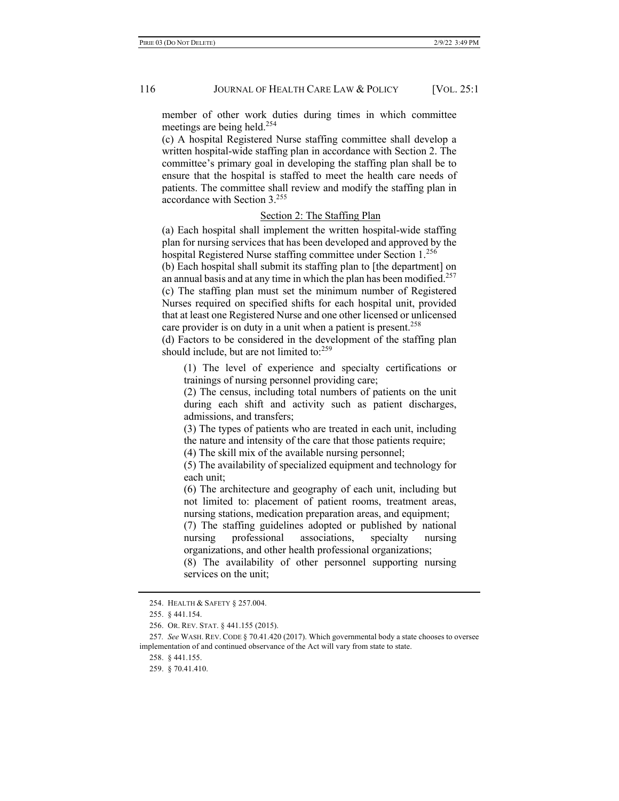member of other work duties during times in which committee meetings are being held.<sup>254</sup>

(c) A hospital Registered Nurse staffing committee shall develop a written hospital-wide staffing plan in accordance with Section 2. The committee's primary goal in developing the staffing plan shall be to ensure that the hospital is staffed to meet the health care needs of patients. The committee shall review and modify the staffing plan in accordance with Section 3.255

# Section 2: The Staffing Plan

(a) Each hospital shall implement the written hospital-wide staffing plan for nursing services that has been developed and approved by the hospital Registered Nurse staffing committee under Section 1.<sup>256</sup>

(b) Each hospital shall submit its staffing plan to [the department] on an annual basis and at any time in which the plan has been modified.<sup>257</sup> (c) The staffing plan must set the minimum number of Registered Nurses required on specified shifts for each hospital unit, provided that at least one Registered Nurse and one other licensed or unlicensed care provider is on duty in a unit when a patient is present.<sup>258</sup>

(d) Factors to be considered in the development of the staffing plan should include, but are not limited to: $259$ 

(1) The level of experience and specialty certifications or trainings of nursing personnel providing care;

(2) The census, including total numbers of patients on the unit during each shift and activity such as patient discharges, admissions, and transfers;

(3) The types of patients who are treated in each unit, including the nature and intensity of the care that those patients require;

(4) The skill mix of the available nursing personnel;

(5) The availability of specialized equipment and technology for each unit;

(6) The architecture and geography of each unit, including but not limited to: placement of patient rooms, treatment areas, nursing stations, medication preparation areas, and equipment;

(7) The staffing guidelines adopted or published by national nursing professional associations, specialty nursing organizations, and other health professional organizations;

(8) The availability of other personnel supporting nursing services on the unit;

<sup>254.</sup> HEALTH & SAFETY § 257.004.

<sup>255.</sup> § 441.154.

<sup>256.</sup> OR. REV. STAT. § 441.155 (2015).

<sup>257</sup>*. See* WASH. REV. CODE § 70.41.420 (2017). Which governmental body a state chooses to oversee implementation of and continued observance of the Act will vary from state to state.

<sup>258.</sup> § 441.155.

<sup>259.</sup> § 70.41.410.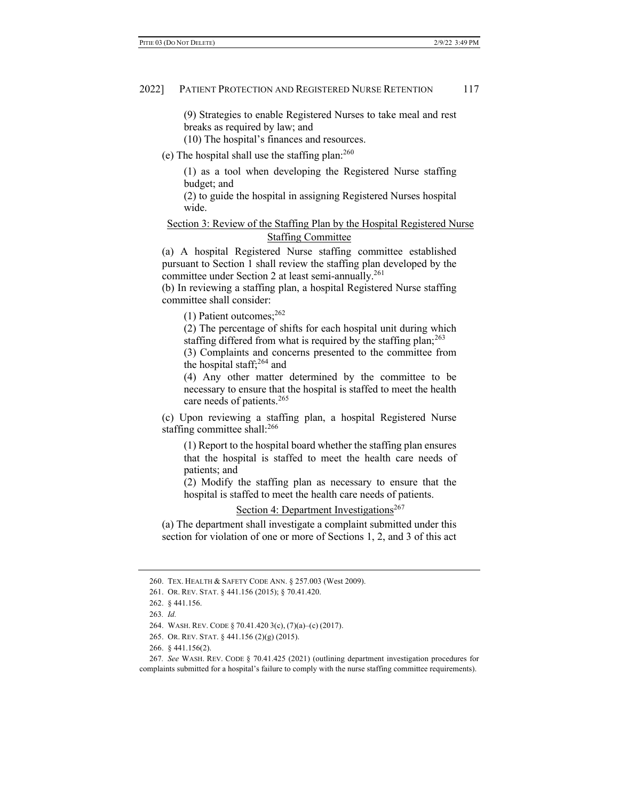(9) Strategies to enable Registered Nurses to take meal and rest breaks as required by law; and

(10) The hospital's finances and resources.

(e) The hospital shall use the staffing plan:260

(1) as a tool when developing the Registered Nurse staffing budget; and

(2) to guide the hospital in assigning Registered Nurses hospital wide.

# Section 3: Review of the Staffing Plan by the Hospital Registered Nurse Staffing Committee

(a) A hospital Registered Nurse staffing committee established pursuant to Section 1 shall review the staffing plan developed by the committee under Section 2 at least semi-annually.<sup>261</sup>

(b) In reviewing a staffing plan, a hospital Registered Nurse staffing committee shall consider:

(1) Patient outcomes;  $262$ 

(2) The percentage of shifts for each hospital unit during which staffing differed from what is required by the staffing plan; $^{263}$ 

(3) Complaints and concerns presented to the committee from the hospital staff;  $264$  and

(4) Any other matter determined by the committee to be necessary to ensure that the hospital is staffed to meet the health care needs of patients.<sup>265</sup>

(c) Upon reviewing a staffing plan, a hospital Registered Nurse staffing committee shall:<sup>266</sup>

(1) Report to the hospital board whether the staffing plan ensures that the hospital is staffed to meet the health care needs of patients; and

(2) Modify the staffing plan as necessary to ensure that the hospital is staffed to meet the health care needs of patients.

Section 4: Department Investigations<sup>267</sup>

(a) The department shall investigate a complaint submitted under this section for violation of one or more of Sections 1, 2, and 3 of this act

<sup>260.</sup> TEX. HEALTH & SAFETY CODE ANN. § 257.003 (West 2009).

<sup>261.</sup> OR. REV. STAT. § 441.156 (2015); § 70.41.420.

<sup>262.</sup> § 441.156.

<sup>263</sup>*. Id.*

<sup>264.</sup> WASH. REV. CODE § 70.41.420 3(c), (7)(a)–(c) (2017).

<sup>265.</sup> OR. REV. STAT. § 441.156 (2)(g) (2015).

<sup>266.</sup> § 441.156(2).

<sup>267</sup>*. See* WASH. REV. CODE § 70.41.425 (2021) (outlining department investigation procedures for complaints submitted for a hospital's failure to comply with the nurse staffing committee requirements).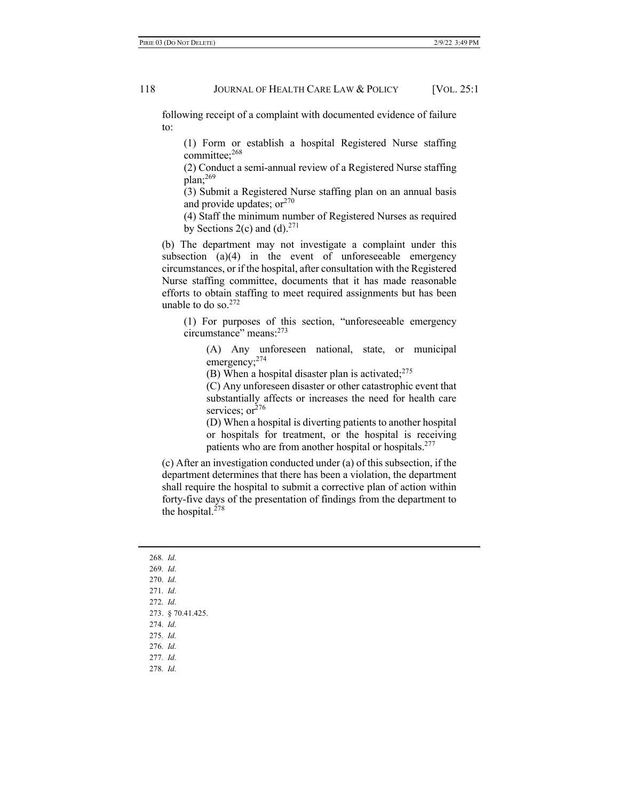following receipt of a complaint with documented evidence of failure to:

(1) Form or establish a hospital Registered Nurse staffing committee;<sup>268</sup>

(2) Conduct a semi-annual review of a Registered Nurse staffing plan;269

(3) Submit a Registered Nurse staffing plan on an annual basis and provide updates;  $or<sup>270</sup>$ 

(4) Staff the minimum number of Registered Nurses as required by Sections 2(c) and (d). $271$ 

(b) The department may not investigate a complaint under this subsection (a)(4) in the event of unforeseeable emergency circumstances, or if the hospital, after consultation with the Registered Nurse staffing committee, documents that it has made reasonable efforts to obtain staffing to meet required assignments but has been unable to do so.<sup>272</sup>

(1) For purposes of this section, "unforeseeable emergency circumstance" means:273

(A) Any unforeseen national, state, or municipal emergency;<sup>274</sup>

(B) When a hospital disaster plan is activated;  $275$ 

(C) Any unforeseen disaster or other catastrophic event that substantially affects or increases the need for health care services; or<sup>276</sup>

(D) When a hospital is diverting patients to another hospital or hospitals for treatment, or the hospital is receiving patients who are from another hospital or hospitals.<sup>277</sup>

(c) After an investigation conducted under (a) of this subsection, if the department determines that there has been a violation, the department shall require the hospital to submit a corrective plan of action within forty-five days of the presentation of findings from the department to the hospital.<sup>278</sup>

268*. Id.* 269*. Id.* 270*. Id.* 271*. Id.* 272*. Id.* 273. § 70.41.425. 274*. Id.* 275*. Id.* 276*. Id.* 277*. Id.* 278*. Id.*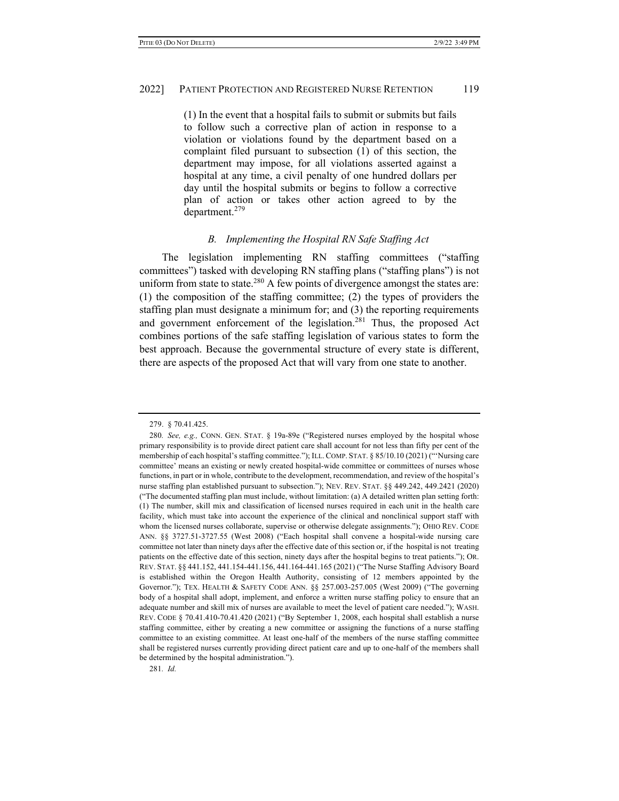(1) In the event that a hospital fails to submit or submits but fails to follow such a corrective plan of action in response to a violation or violations found by the department based on a complaint filed pursuant to subsection (1) of this section, the department may impose, for all violations asserted against a hospital at any time, a civil penalty of one hundred dollars per day until the hospital submits or begins to follow a corrective plan of action or takes other action agreed to by the department.<sup>279</sup>

#### *B. Implementing the Hospital RN Safe Staffing Act*

The legislation implementing RN staffing committees ("staffing committees") tasked with developing RN staffing plans ("staffing plans") is not uniform from state to state.<sup>280</sup> A few points of divergence amongst the states are: (1) the composition of the staffing committee; (2) the types of providers the staffing plan must designate a minimum for; and (3) the reporting requirements and government enforcement of the legislation. $^{281}$  Thus, the proposed Act combines portions of the safe staffing legislation of various states to form the best approach. Because the governmental structure of every state is different, there are aspects of the proposed Act that will vary from one state to another.

281*. Id.*

<sup>279.</sup> § 70.41.425.

<sup>280</sup>*. See, e.g.,* CONN. GEN. STAT. § 19a-89e ("Registered nurses employed by the hospital whose primary responsibility is to provide direct patient care shall account for not less than fifty per cent of the membership of each hospital's staffing committee."); ILL. COMP. STAT. § 85/10.10 (2021) ("'Nursing care committee' means an existing or newly created hospital-wide committee or committees of nurses whose functions, in part or in whole, contribute to the development, recommendation, and review of the hospital's nurse staffing plan established pursuant to subsection."); NEV. REV. STAT. §§ 449.242, 449.2421 (2020) ("The documented staffing plan must include, without limitation: (a) A detailed written plan setting forth: (1) The number, skill mix and classification of licensed nurses required in each unit in the health care facility, which must take into account the experience of the clinical and nonclinical support staff with whom the licensed nurses collaborate, supervise or otherwise delegate assignments."); OHIO REV. CODE ANN. §§ 3727.51-3727.55 (West 2008) ("Each hospital shall convene a hospital-wide nursing care committee not later than ninety days after the effective date of this section or, if the hospital is not treating patients on the effective date of this section, ninety days after the hospital begins to treat patients."); OR. REV. STAT. §§ 441.152, 441.154-441.156, 441.164-441.165 (2021) ("The Nurse Staffing Advisory Board is established within the Oregon Health Authority, consisting of 12 members appointed by the Governor."); TEX. HEALTH & SAFETY CODE ANN. §§ 257.003-257.005 (West 2009) ("The governing body of a hospital shall adopt, implement, and enforce a written nurse staffing policy to ensure that an adequate number and skill mix of nurses are available to meet the level of patient care needed."); WASH. REV. CODE § 70.41.410-70.41.420 (2021) ("By September 1, 2008, each hospital shall establish a nurse staffing committee, either by creating a new committee or assigning the functions of a nurse staffing committee to an existing committee. At least one-half of the members of the nurse staffing committee shall be registered nurses currently providing direct patient care and up to one-half of the members shall be determined by the hospital administration.").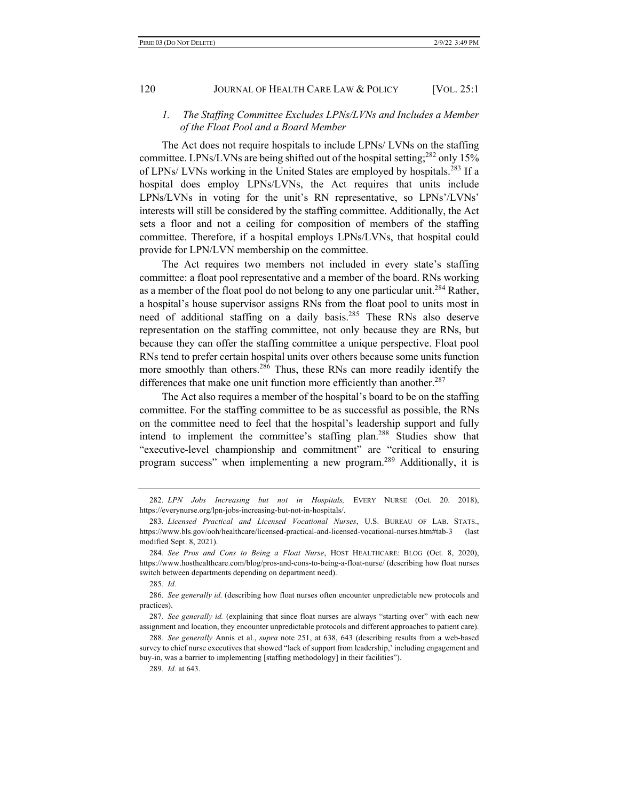# *1. The Staffing Committee Excludes LPNs/LVNs and Includes a Member of the Float Pool and a Board Member*

The Act does not require hospitals to include LPNs/ LVNs on the staffing committee. LPNs/LVNs are being shifted out of the hospital setting;<sup>282</sup> only 15% of LPNs/ LVNs working in the United States are employed by hospitals.<sup>283</sup> If a hospital does employ LPNs/LVNs, the Act requires that units include LPNs/LVNs in voting for the unit's RN representative, so LPNs'/LVNs' interests will still be considered by the staffing committee. Additionally, the Act sets a floor and not a ceiling for composition of members of the staffing committee. Therefore, if a hospital employs LPNs/LVNs, that hospital could provide for LPN/LVN membership on the committee.

The Act requires two members not included in every state's staffing committee: a float pool representative and a member of the board. RNs working as a member of the float pool do not belong to any one particular unit.<sup>284</sup> Rather, a hospital's house supervisor assigns RNs from the float pool to units most in need of additional staffing on a daily basis.<sup>285</sup> These RNs also deserve representation on the staffing committee, not only because they are RNs, but because they can offer the staffing committee a unique perspective. Float pool RNs tend to prefer certain hospital units over others because some units function more smoothly than others.<sup>286</sup> Thus, these RNs can more readily identify the differences that make one unit function more efficiently than another.<sup>287</sup>

The Act also requires a member of the hospital's board to be on the staffing committee. For the staffing committee to be as successful as possible, the RNs on the committee need to feel that the hospital's leadership support and fully intend to implement the committee's staffing plan.<sup>288</sup> Studies show that "executive-level championship and commitment" are "critical to ensuring program success" when implementing a new program.289 Additionally, it is

<sup>282</sup>*. LPN Jobs Increasing but not in Hospitals,* EVERY NURSE (Oct. 20. 2018), https://everynurse.org/lpn-jobs-increasing-but-not-in-hospitals/.

<sup>283</sup>*. Licensed Practical and Licensed Vocational Nurses*, U.S. BUREAU OF LAB. STATS., https://www.bls.gov/ooh/healthcare/licensed-practical-and-licensed-vocational-nurses.htm#tab-3 (last modified Sept. 8, 2021).

<sup>284</sup>*. See Pros and Cons to Being a Float Nurse*, HOST HEALTHCARE: BLOG (Oct. 8, 2020), https://www.hosthealthcare.com/blog/pros-and-cons-to-being-a-float-nurse/ (describing how float nurses switch between departments depending on department need).

<sup>285</sup>*. Id.*

<sup>286</sup>*. See generally id.* (describing how float nurses often encounter unpredictable new protocols and practices).

<sup>287</sup>*. See generally id.* (explaining that since float nurses are always "starting over" with each new assignment and location, they encounter unpredictable protocols and different approaches to patient care).

<sup>288</sup>*. See generally* Annis et al., *supra* note 251, at 638, 643 (describing results from a web-based survey to chief nurse executives that showed "lack of support from leadership,' including engagement and buy-in, was a barrier to implementing [staffing methodology] in their facilities").

<sup>289</sup>*. Id.* at 643.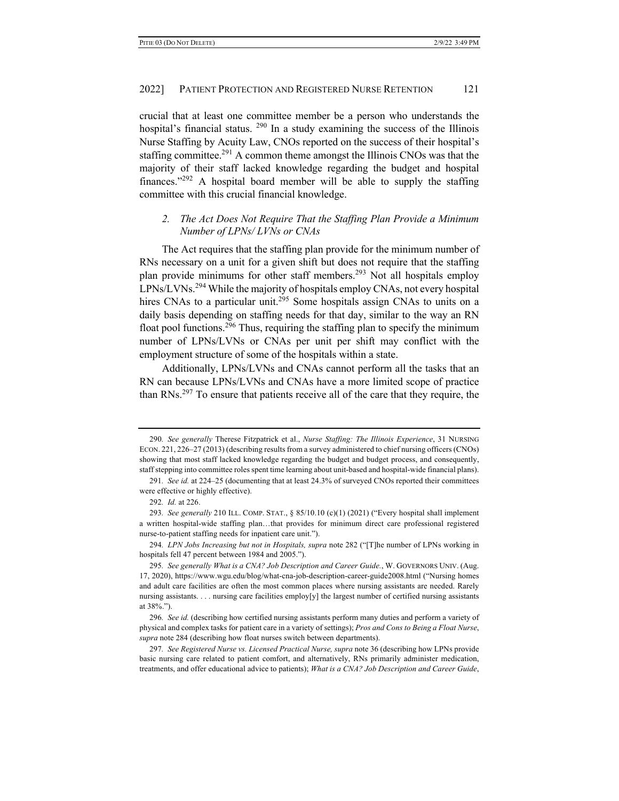crucial that at least one committee member be a person who understands the hospital's financial status.  $290$  In a study examining the success of the Illinois Nurse Staffing by Acuity Law, CNOs reported on the success of their hospital's staffing committee.<sup>291</sup> A common theme amongst the Illinois CNOs was that the majority of their staff lacked knowledge regarding the budget and hospital finances."292 A hospital board member will be able to supply the staffing committee with this crucial financial knowledge.

# *2. The Act Does Not Require That the Staffing Plan Provide a Minimum Number of LPNs/ LVNs or CNAs*

The Act requires that the staffing plan provide for the minimum number of RNs necessary on a unit for a given shift but does not require that the staffing plan provide minimums for other staff members.<sup>293</sup> Not all hospitals employ  $LPNs/LVNs^{294}$  While the majority of hospitals employ CNAs, not every hospital hires CNAs to a particular unit.<sup>295</sup> Some hospitals assign CNAs to units on a daily basis depending on staffing needs for that day, similar to the way an RN float pool functions.<sup>296</sup> Thus, requiring the staffing plan to specify the minimum number of LPNs/LVNs or CNAs per unit per shift may conflict with the employment structure of some of the hospitals within a state.

Additionally, LPNs/LVNs and CNAs cannot perform all the tasks that an RN can because LPNs/LVNs and CNAs have a more limited scope of practice than RNs.<sup>297</sup> To ensure that patients receive all of the care that they require, the

<sup>290</sup>*. See generally* Therese Fitzpatrick et al., *Nurse Staffing: The Illinois Experience*, 31 NURSING ECON. 221, 226–27 (2013) (describing results from a survey administered to chief nursing officers (CNOs) showing that most staff lacked knowledge regarding the budget and budget process, and consequently, staff stepping into committee roles spent time learning about unit-based and hospital-wide financial plans).

<sup>291</sup>*. See id.* at 224–25 (documenting that at least 24.3% of surveyed CNOs reported their committees were effective or highly effective).

<sup>292</sup>*. Id.* at 226.

<sup>293</sup>*. See generally* 210 ILL. COMP. STAT., § 85/10.10 (c)(1) (2021) ("Every hospital shall implement a written hospital-wide staffing plan…that provides for minimum direct care professional registered nurse-to-patient staffing needs for inpatient care unit.").

<sup>294</sup>*. LPN Jobs Increasing but not in Hospitals, supra* note 282 ("[T]he number of LPNs working in hospitals fell 47 percent between 1984 and 2005.").

<sup>295</sup>*. See generally What is a CNA? Job Description and Career Guide.*, W. GOVERNORS UNIV. (Aug. 17, 2020), https://www.wgu.edu/blog/what-cna-job-description-career-guide2008.html ("Nursing homes and adult care facilities are often the most common places where nursing assistants are needed. Rarely nursing assistants. . . . nursing care facilities employ[y] the largest number of certified nursing assistants at 38%.").

<sup>296</sup>*. See id.* (describing how certified nursing assistants perform many duties and perform a variety of physical and complex tasks for patient care in a variety of settings); *Pros and Cons to Being a Float Nurse*, *supra* note 284 (describing how float nurses switch between departments).

<sup>297</sup>*. See Registered Nurse vs. Licensed Practical Nurse, supra* note 36 (describing how LPNs provide basic nursing care related to patient comfort, and alternatively, RNs primarily administer medication, treatments, and offer educational advice to patients); *What is a CNA? Job Description and Career Guide*,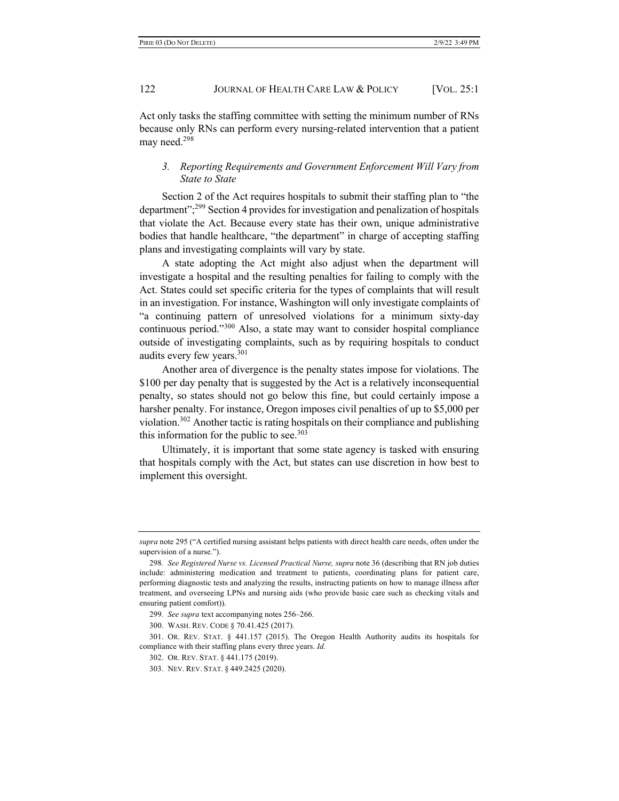Act only tasks the staffing committee with setting the minimum number of RNs because only RNs can perform every nursing-related intervention that a patient may need.<sup>298</sup>

# *3. Reporting Requirements and Government Enforcement Will Vary from State to State*

Section 2 of the Act requires hospitals to submit their staffing plan to "the department";299 Section 4 provides for investigation and penalization of hospitals that violate the Act. Because every state has their own, unique administrative bodies that handle healthcare, "the department" in charge of accepting staffing plans and investigating complaints will vary by state.

A state adopting the Act might also adjust when the department will investigate a hospital and the resulting penalties for failing to comply with the Act. States could set specific criteria for the types of complaints that will result in an investigation. For instance, Washington will only investigate complaints of "a continuing pattern of unresolved violations for a minimum sixty-day continuous period."<sup>300</sup> Also, a state may want to consider hospital compliance outside of investigating complaints, such as by requiring hospitals to conduct audits every few years.301

Another area of divergence is the penalty states impose for violations. The \$100 per day penalty that is suggested by the Act is a relatively inconsequential penalty, so states should not go below this fine, but could certainly impose a harsher penalty. For instance, Oregon imposes civil penalties of up to \$5,000 per violation.302 Another tactic is rating hospitals on their compliance and publishing this information for the public to see.<sup>303</sup>

Ultimately, it is important that some state agency is tasked with ensuring that hospitals comply with the Act, but states can use discretion in how best to implement this oversight.

*supra* note 295 ("A certified nursing assistant helps patients with direct health care needs, often under the supervision of a nurse.").

<sup>298</sup>*. See Registered Nurse vs. Licensed Practical Nurse, supra* note 36 (describing that RN job duties include: administering medication and treatment to patients, coordinating plans for patient care, performing diagnostic tests and analyzing the results, instructing patients on how to manage illness after treatment, and overseeing LPNs and nursing aids (who provide basic care such as checking vitals and ensuring patient comfort)).

<sup>299</sup>*. See supra* text accompanying notes 256–266.

<sup>300.</sup> WASH. REV. CODE § 70.41.425 (2017).

<sup>301.</sup> OR. REV. STAT. § 441.157 (2015). The Oregon Health Authority audits its hospitals for compliance with their staffing plans every three years. *Id.*

<sup>302.</sup> OR. REV. STAT. § 441.175 (2019).

<sup>303.</sup> NEV. REV. STAT. § 449.2425 (2020).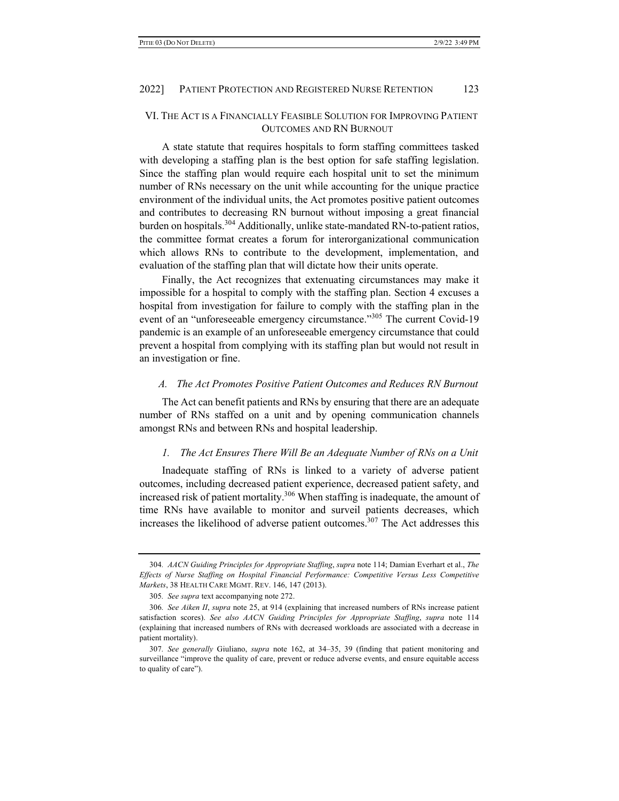# VI. THE ACT IS A FINANCIALLY FEASIBLE SOLUTION FOR IMPROVING PATIENT OUTCOMES AND RN BURNOUT

A state statute that requires hospitals to form staffing committees tasked with developing a staffing plan is the best option for safe staffing legislation. Since the staffing plan would require each hospital unit to set the minimum number of RNs necessary on the unit while accounting for the unique practice environment of the individual units, the Act promotes positive patient outcomes and contributes to decreasing RN burnout without imposing a great financial burden on hospitals.<sup>304</sup> Additionally, unlike state-mandated RN-to-patient ratios, the committee format creates a forum for interorganizational communication which allows RNs to contribute to the development, implementation, and evaluation of the staffing plan that will dictate how their units operate.

Finally, the Act recognizes that extenuating circumstances may make it impossible for a hospital to comply with the staffing plan. Section 4 excuses a hospital from investigation for failure to comply with the staffing plan in the event of an "unforeseeable emergency circumstance."<sup>305</sup> The current Covid-19 pandemic is an example of an unforeseeable emergency circumstance that could prevent a hospital from complying with its staffing plan but would not result in an investigation or fine.

#### *A. The Act Promotes Positive Patient Outcomes and Reduces RN Burnout*

The Act can benefit patients and RNs by ensuring that there are an adequate number of RNs staffed on a unit and by opening communication channels amongst RNs and between RNs and hospital leadership.

#### *1. The Act Ensures There Will Be an Adequate Number of RNs on a Unit*

Inadequate staffing of RNs is linked to a variety of adverse patient outcomes, including decreased patient experience, decreased patient safety, and increased risk of patient mortality.<sup>306</sup> When staffing is inadequate, the amount of time RNs have available to monitor and surveil patients decreases, which increases the likelihood of adverse patient outcomes.<sup>307</sup> The Act addresses this

<sup>304</sup>*. AACN Guiding Principles for Appropriate Staffing*, *supra* note 114; Damian Everhart et al., *The Effects of Nurse Staffing on Hospital Financial Performance: Competitive Versus Less Competitive Markets*, 38 HEALTH CARE MGMT. REV. 146, 147 (2013).

<sup>305</sup>*. See supra* text accompanying note 272.

<sup>306</sup>*. See Aiken II*, *supra* note 25, at 914 (explaining that increased numbers of RNs increase patient satisfaction scores). *See also AACN Guiding Principles for Appropriate Staffing*, *supra* note 114 (explaining that increased numbers of RNs with decreased workloads are associated with a decrease in patient mortality).

<sup>307</sup>*. See generally* Giuliano, *supra* note 162, at 34–35, 39 (finding that patient monitoring and surveillance "improve the quality of care, prevent or reduce adverse events, and ensure equitable access to quality of care").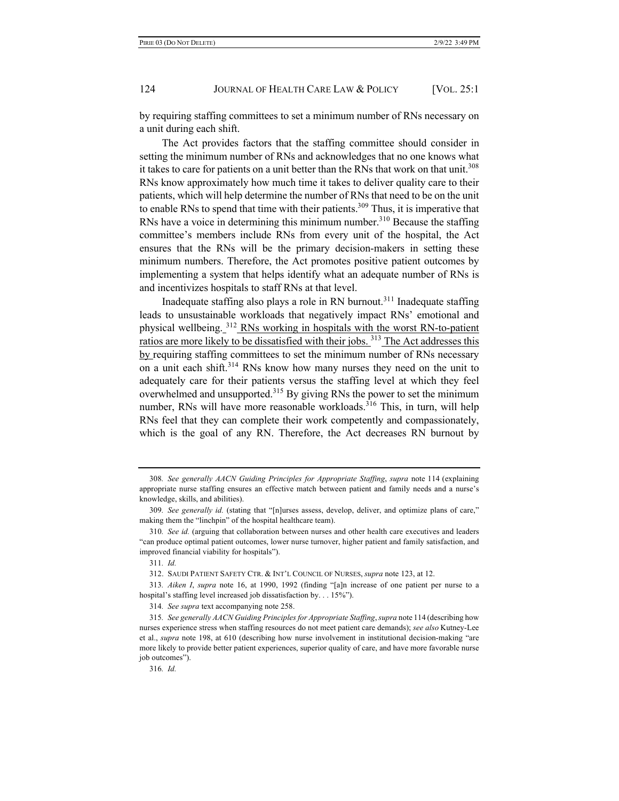by requiring staffing committees to set a minimum number of RNs necessary on a unit during each shift.

The Act provides factors that the staffing committee should consider in setting the minimum number of RNs and acknowledges that no one knows what it takes to care for patients on a unit better than the RNs that work on that unit.<sup>308</sup> RNs know approximately how much time it takes to deliver quality care to their patients, which will help determine the number of RNs that need to be on the unit to enable RNs to spend that time with their patients.<sup>309</sup> Thus, it is imperative that RNs have a voice in determining this minimum number.<sup>310</sup> Because the staffing committee's members include RNs from every unit of the hospital, the Act ensures that the RNs will be the primary decision-makers in setting these minimum numbers. Therefore, the Act promotes positive patient outcomes by implementing a system that helps identify what an adequate number of RNs is and incentivizes hospitals to staff RNs at that level.

Inadequate staffing also plays a role in RN burnout.<sup>311</sup> Inadequate staffing leads to unsustainable workloads that negatively impact RNs' emotional and physical wellbeing. <sup>312</sup> RNs working in hospitals with the worst RN-to-patient ratios are more likely to be dissatisfied with their jobs. 313 The Act addresses this by requiring staffing committees to set the minimum number of RNs necessary on a unit each shift.<sup>314</sup> RNs know how many nurses they need on the unit to adequately care for their patients versus the staffing level at which they feel overwhelmed and unsupported.<sup>315</sup> By giving RNs the power to set the minimum number, RNs will have more reasonable workloads.<sup>316</sup> This, in turn, will help RNs feel that they can complete their work competently and compassionately, which is the goal of any RN. Therefore, the Act decreases RN burnout by

<sup>308</sup>*. See generally AACN Guiding Principles for Appropriate Staffing*, *supra* note 114 (explaining appropriate nurse staffing ensures an effective match between patient and family needs and a nurse's knowledge, skills, and abilities).

<sup>309</sup>*. See generally id.* (stating that "[n]urses assess, develop, deliver, and optimize plans of care," making them the "linchpin" of the hospital healthcare team).

<sup>310</sup>*. See id.* (arguing that collaboration between nurses and other health care executives and leaders "can produce optimal patient outcomes, lower nurse turnover, higher patient and family satisfaction, and improved financial viability for hospitals").

<sup>311</sup>*. Id.*

<sup>312.</sup> SAUDI PATIENT SAFETY CTR. & INT'L COUNCIL OF NURSES, *supra* note 123, at 12.

<sup>313</sup>*. Aiken I*, *supra* note 16, at 1990, 1992 (finding "[a]n increase of one patient per nurse to a hospital's staffing level increased job dissatisfaction by. . . 15%").

<sup>314</sup>*. See supra* text accompanying note 258.

<sup>315</sup>*. See generally AACN Guiding Principles for Appropriate Staffing*, *supra* note 114 (describing how nurses experience stress when staffing resources do not meet patient care demands); *see also* Kutney-Lee et al., *supra* note 198, at 610 (describing how nurse involvement in institutional decision-making "are more likely to provide better patient experiences, superior quality of care, and have more favorable nurse job outcomes").

<sup>316</sup>*. Id.*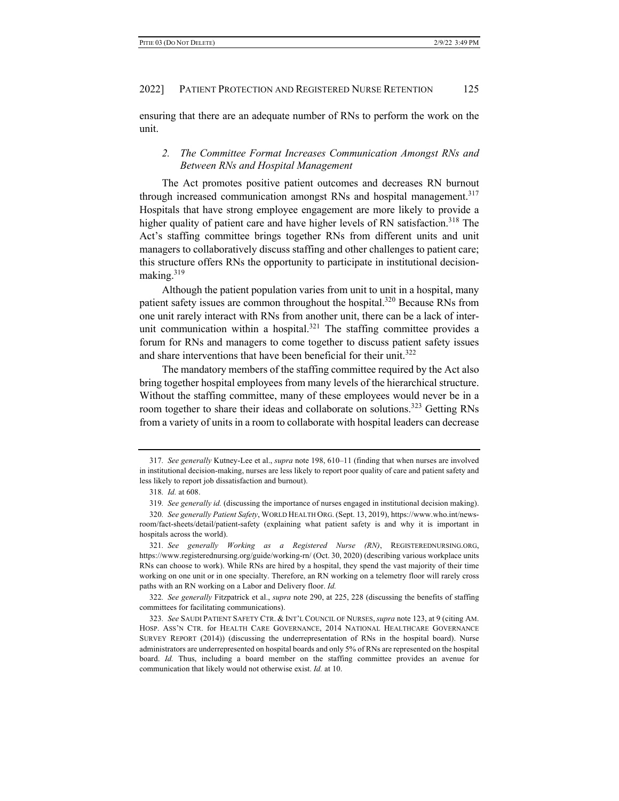ensuring that there are an adequate number of RNs to perform the work on the unit.

# *2. The Committee Format Increases Communication Amongst RNs and Between RNs and Hospital Management*

The Act promotes positive patient outcomes and decreases RN burnout through increased communication amongst RNs and hospital management.<sup>317</sup> Hospitals that have strong employee engagement are more likely to provide a higher quality of patient care and have higher levels of RN satisfaction.<sup>318</sup> The Act's staffing committee brings together RNs from different units and unit managers to collaboratively discuss staffing and other challenges to patient care; this structure offers RNs the opportunity to participate in institutional decisionmaking.319

Although the patient population varies from unit to unit in a hospital, many patient safety issues are common throughout the hospital.<sup>320</sup> Because RNs from one unit rarely interact with RNs from another unit, there can be a lack of interunit communication within a hospital.<sup>321</sup> The staffing committee provides a forum for RNs and managers to come together to discuss patient safety issues and share interventions that have been beneficial for their unit.<sup>322</sup>

The mandatory members of the staffing committee required by the Act also bring together hospital employees from many levels of the hierarchical structure. Without the staffing committee, many of these employees would never be in a room together to share their ideas and collaborate on solutions.<sup>323</sup> Getting RNs from a variety of units in a room to collaborate with hospital leaders can decrease

<sup>317</sup>*. See generally* Kutney-Lee et al., *supra* note 198, 610–11 (finding that when nurses are involved in institutional decision-making, nurses are less likely to report poor quality of care and patient safety and less likely to report job dissatisfaction and burnout).

<sup>318</sup>*. Id.* at 608.

<sup>319</sup>*. See generally id.* (discussing the importance of nurses engaged in institutional decision making).

<sup>320</sup>*. See generally Patient Safety*, WORLD HEALTH ORG. (Sept. 13, 2019), https://www.who.int/newsroom/fact-sheets/detail/patient-safety (explaining what patient safety is and why it is important in hospitals across the world).

<sup>321</sup>*. See generally Working as a Registered Nurse (RN)*, REGISTEREDNURSING.ORG, https://www.registerednursing.org/guide/working-rn/ (Oct. 30, 2020) (describing various workplace units RNs can choose to work). While RNs are hired by a hospital, they spend the vast majority of their time working on one unit or in one specialty. Therefore, an RN working on a telemetry floor will rarely cross paths with an RN working on a Labor and Delivery floor. *Id.*

<sup>322</sup>*. See generally* Fitzpatrick et al., *supra* note 290, at 225, 228 (discussing the benefits of staffing committees for facilitating communications).

<sup>323</sup>*. See* SAUDI PATIENT SAFETY CTR. & INT'L COUNCIL OF NURSES,*supra* note 123, at 9 (citing AM. HOSP. ASS'N CTR. for HEALTH CARE GOVERNANCE, 2014 NATIONAL HEALTHCARE GOVERNANCE SURVEY REPORT (2014)) (discussing the underrepresentation of RNs in the hospital board). Nurse administrators are underrepresented on hospital boards and only 5% of RNs are represented on the hospital board. *Id.* Thus, including a board member on the staffing committee provides an avenue for communication that likely would not otherwise exist. *Id.* at 10.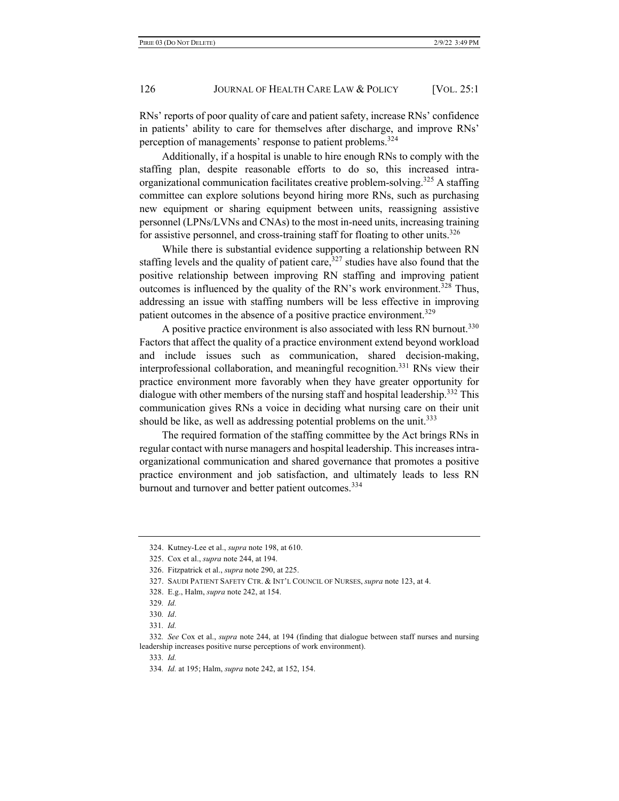RNs' reports of poor quality of care and patient safety, increase RNs' confidence in patients' ability to care for themselves after discharge, and improve RNs' perception of managements' response to patient problems.<sup>324</sup>

Additionally, if a hospital is unable to hire enough RNs to comply with the staffing plan, despite reasonable efforts to do so, this increased intraorganizational communication facilitates creative problem-solving.<sup>325</sup> A staffing committee can explore solutions beyond hiring more RNs, such as purchasing new equipment or sharing equipment between units, reassigning assistive personnel (LPNs/LVNs and CNAs) to the most in-need units, increasing training for assistive personnel, and cross-training staff for floating to other units.<sup>326</sup>

While there is substantial evidence supporting a relationship between RN staffing levels and the quality of patient care,  $327$  studies have also found that the positive relationship between improving RN staffing and improving patient outcomes is influenced by the quality of the RN's work environment.<sup>328</sup> Thus, addressing an issue with staffing numbers will be less effective in improving patient outcomes in the absence of a positive practice environment.<sup>329</sup>

A positive practice environment is also associated with less RN burnout.<sup>330</sup> Factors that affect the quality of a practice environment extend beyond workload and include issues such as communication, shared decision-making, interprofessional collaboration, and meaningful recognition.<sup>331</sup> RNs view their practice environment more favorably when they have greater opportunity for dialogue with other members of the nursing staff and hospital leadership.<sup>332</sup> This communication gives RNs a voice in deciding what nursing care on their unit should be like, as well as addressing potential problems on the unit.<sup>333</sup>

The required formation of the staffing committee by the Act brings RNs in regular contact with nurse managers and hospital leadership. This increases intraorganizational communication and shared governance that promotes a positive practice environment and job satisfaction, and ultimately leads to less RN burnout and turnover and better patient outcomes.<sup>334</sup>

333*. Id.*

<sup>324.</sup> Kutney-Lee et al., *supra* note 198, at 610.

<sup>325.</sup> Cox et al., *supra* note 244, at 194.

<sup>326.</sup> Fitzpatrick et al., *supra* note 290, at 225.

<sup>327.</sup> SAUDI PATIENT SAFETY CTR. & INT'L COUNCIL OF NURSES, *supra* note 123, at 4.

<sup>328.</sup> E.g., Halm, *supra* note 242, at 154.

<sup>329</sup>*. Id.*

<sup>330</sup>*. Id*.

<sup>331</sup>*. Id.*

<sup>332</sup>*. See* Cox et al., *supra* note 244, at 194 (finding that dialogue between staff nurses and nursing leadership increases positive nurse perceptions of work environment).

<sup>334</sup>*. Id.* at 195; Halm, *supra* note 242, at 152, 154.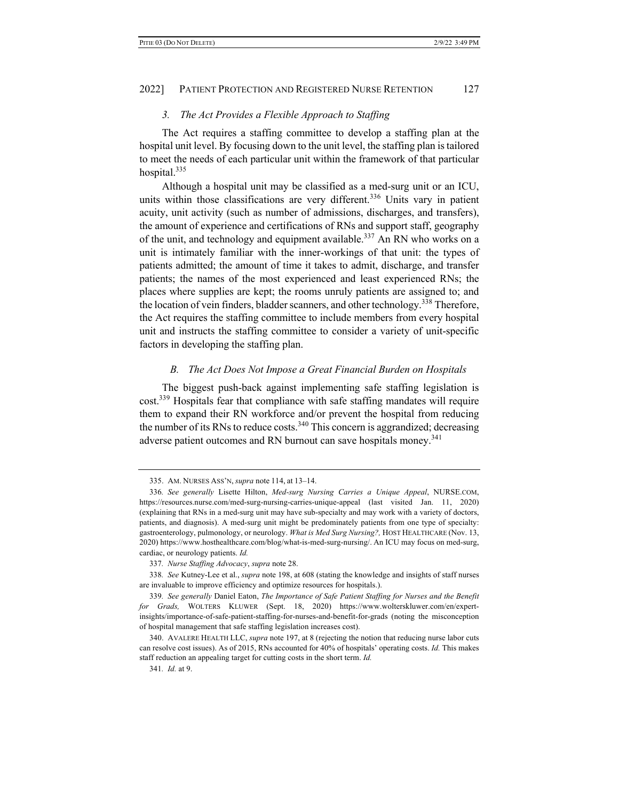#### *3. The Act Provides a Flexible Approach to Staffing*

The Act requires a staffing committee to develop a staffing plan at the hospital unit level. By focusing down to the unit level, the staffing plan is tailored to meet the needs of each particular unit within the framework of that particular hospital.335

Although a hospital unit may be classified as a med-surg unit or an ICU, units within those classifications are very different.<sup>336</sup> Units vary in patient acuity, unit activity (such as number of admissions, discharges, and transfers), the amount of experience and certifications of RNs and support staff, geography of the unit, and technology and equipment available.<sup>337</sup> An RN who works on a unit is intimately familiar with the inner-workings of that unit: the types of patients admitted; the amount of time it takes to admit, discharge, and transfer patients; the names of the most experienced and least experienced RNs; the places where supplies are kept; the rooms unruly patients are assigned to; and the location of vein finders, bladder scanners, and other technology.<sup>338</sup> Therefore, the Act requires the staffing committee to include members from every hospital unit and instructs the staffing committee to consider a variety of unit-specific factors in developing the staffing plan.

#### *B. The Act Does Not Impose a Great Financial Burden on Hospitals*

The biggest push-back against implementing safe staffing legislation is cost.<sup>339</sup> Hospitals fear that compliance with safe staffing mandates will require them to expand their RN workforce and/or prevent the hospital from reducing the number of its RNs to reduce costs.<sup>340</sup> This concern is aggrandized; decreasing adverse patient outcomes and RN burnout can save hospitals money.<sup>341</sup>

<sup>335.</sup> AM. NURSES ASS'N, *supra* note 114, at 13–14.

<sup>336</sup>*. See generally* Lisette Hilton, *Med-surg Nursing Carries a Unique Appeal*, NURSE.COM, https://resources.nurse.com/med-surg-nursing-carries-unique-appeal (last visited Jan. 11, 2020) (explaining that RNs in a med-surg unit may have sub-specialty and may work with a variety of doctors, patients, and diagnosis). A med-surg unit might be predominately patients from one type of specialty: gastroenterology, pulmonology, or neurology. *What is Med Surg Nursing?,* HOST HEALTHCARE (Nov. 13, 2020) https://www.hosthealthcare.com/blog/what-is-med-surg-nursing/. An ICU may focus on med-surg, cardiac, or neurology patients. *Id.*

<sup>337</sup>*. Nurse Staffing Advocacy*, *supra* note 28.

<sup>338</sup>*. See* Kutney-Lee et al., *supra* note 198, at 608 (stating the knowledge and insights of staff nurses are invaluable to improve efficiency and optimize resources for hospitals.).

<sup>339</sup>*. See generally* Daniel Eaton, *The Importance of Safe Patient Staffing for Nurses and the Benefit for Grads,* WOLTERS KLUWER (Sept. 18, 2020) https://www.wolterskluwer.com/en/expertinsights/importance-of-safe-patient-staffing-for-nurses-and-benefit-for-grads (noting the misconception of hospital management that safe staffing legislation increases cost).

<sup>340.</sup> AVALERE HEALTH LLC, *supra* note 197, at 8 (rejecting the notion that reducing nurse labor cuts can resolve cost issues). As of 2015, RNs accounted for 40% of hospitals' operating costs. *Id.* This makes staff reduction an appealing target for cutting costs in the short term. *Id.*

<sup>341</sup>*. Id.* at 9.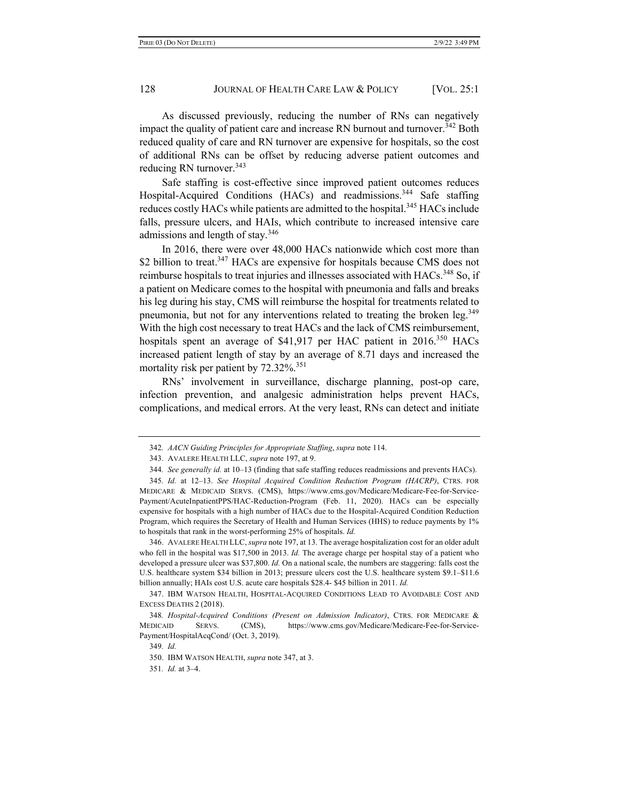As discussed previously, reducing the number of RNs can negatively impact the quality of patient care and increase RN burnout and turnover.<sup>342</sup> Both reduced quality of care and RN turnover are expensive for hospitals, so the cost of additional RNs can be offset by reducing adverse patient outcomes and reducing RN turnover.<sup>343</sup>

Safe staffing is cost-effective since improved patient outcomes reduces Hospital-Acquired Conditions (HACs) and readmissions.<sup>344</sup> Safe staffing reduces costly HACs while patients are admitted to the hospital.<sup>345</sup> HACs include falls, pressure ulcers, and HAIs, which contribute to increased intensive care admissions and length of stay.<sup>346</sup>

In 2016, there were over 48,000 HACs nationwide which cost more than \$2 billion to treat.<sup>347</sup> HACs are expensive for hospitals because CMS does not reimburse hospitals to treat injuries and illnesses associated with HACs.<sup>348</sup> So, if a patient on Medicare comes to the hospital with pneumonia and falls and breaks his leg during his stay, CMS will reimburse the hospital for treatments related to pneumonia, but not for any interventions related to treating the broken leg.<sup>349</sup> With the high cost necessary to treat HACs and the lack of CMS reimbursement, hospitals spent an average of \$41,917 per HAC patient in 2016.<sup>350</sup> HACs increased patient length of stay by an average of 8.71 days and increased the mortality risk per patient by 72.32%.<sup>351</sup>

RNs' involvement in surveillance, discharge planning, post-op care, infection prevention, and analgesic administration helps prevent HACs, complications, and medical errors. At the very least, RNs can detect and initiate

346. AVALERE HEALTH LLC, *supra* note 197, at 13. The average hospitalization cost for an older adult who fell in the hospital was \$17,500 in 2013. *Id.* The average charge per hospital stay of a patient who developed a pressure ulcer was \$37,800. *Id.* On a national scale, the numbers are staggering: falls cost the U.S. healthcare system \$34 billion in 2013; pressure ulcers cost the U.S. healthcare system \$9.1–\$11.6 billion annually; HAIs cost U.S. acute care hospitals \$28.4- \$45 billion in 2011. *Id.*

<sup>342</sup>*. AACN Guiding Principles for Appropriate Staffing*, *supra* note 114.

<sup>343.</sup> AVALERE HEALTH LLC, *supra* note 197, at 9.

<sup>344</sup>*. See generally id.* at 10–13 (finding that safe staffing reduces readmissions and prevents HACs).

<sup>345</sup>*. Id.* at 12–13. *See Hospital Acquired Condition Reduction Program (HACRP)*, CTRS. FOR MEDICARE & MEDICAID SERVS. (CMS), https://www.cms.gov/Medicare/Medicare-Fee-for-Service-Payment/AcuteInpatientPPS/HAC-Reduction-Program (Feb. 11, 2020). HACs can be especially expensive for hospitals with a high number of HACs due to the Hospital-Acquired Condition Reduction Program, which requires the Secretary of Health and Human Services (HHS) to reduce payments by 1% to hospitals that rank in the worst-performing 25% of hospitals. *Id.*

<sup>347.</sup> IBM WATSON HEALTH, HOSPITAL-ACQUIRED CONDITIONS LEAD TO AVOIDABLE COST AND EXCESS DEATHS 2 (2018).

<sup>348</sup>*. Hospital-Acquired Conditions (Present on Admission Indicator)*, CTRS. FOR MEDICARE & MEDICAID SERVS. (CMS), https://www.cms.gov/Medicare/Medicare-Fee-for-Service-Payment/HospitalAcqCond/ (Oct. 3, 2019).

<sup>349</sup>*. Id.*

<sup>350.</sup> IBM WATSON HEALTH, *supra* note 347, at 3.

<sup>351</sup>*. Id.* at 3–4.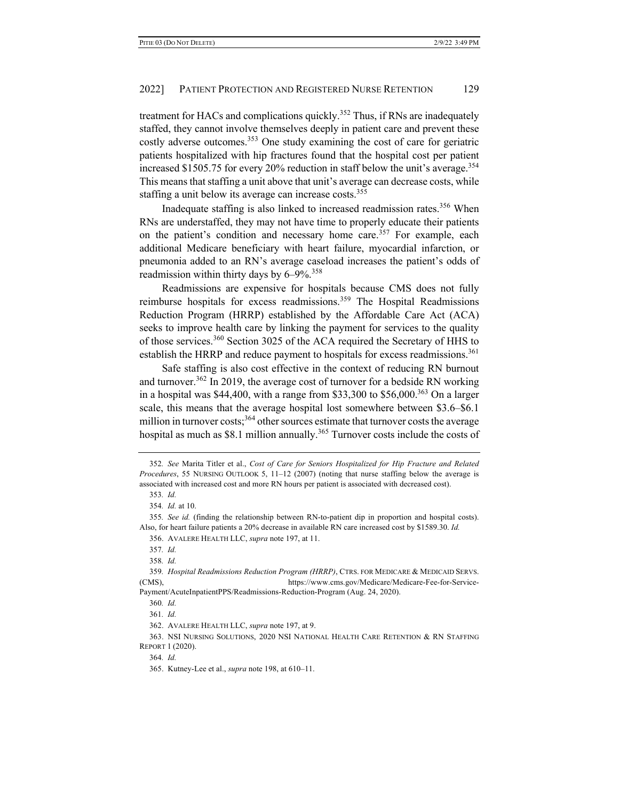treatment for HACs and complications quickly.<sup>352</sup> Thus, if RNs are inadequately staffed, they cannot involve themselves deeply in patient care and prevent these costly adverse outcomes.<sup>353</sup> One study examining the cost of care for geriatric patients hospitalized with hip fractures found that the hospital cost per patient increased \$1505.75 for every 20% reduction in staff below the unit's average. 354 This means that staffing a unit above that unit's average can decrease costs, while staffing a unit below its average can increase costs.<sup>355</sup>

Inadequate staffing is also linked to increased readmission rates.<sup>356</sup> When RNs are understaffed, they may not have time to properly educate their patients on the patient's condition and necessary home care.<sup>357</sup> For example, each additional Medicare beneficiary with heart failure, myocardial infarction, or pneumonia added to an RN's average caseload increases the patient's odds of readmission within thirty days by  $6-9\%$ <sup>358</sup>

Readmissions are expensive for hospitals because CMS does not fully reimburse hospitals for excess readmissions.<sup>359</sup> The Hospital Readmissions Reduction Program (HRRP) established by the Affordable Care Act (ACA) seeks to improve health care by linking the payment for services to the quality of those services.<sup>360</sup> Section 3025 of the ACA required the Secretary of HHS to establish the HRRP and reduce payment to hospitals for excess readmissions.<sup>361</sup>

Safe staffing is also cost effective in the context of reducing RN burnout and turnover.<sup>362</sup> In 2019, the average cost of turnover for a bedside RN working in a hospital was \$44,400, with a range from \$33,300 to \$56,000.<sup>363</sup> On a larger scale, this means that the average hospital lost somewhere between \$3.6–\$6.1 million in turnover costs;  $364$  other sources estimate that turnover costs the average hospital as much as \$8.1 million annually.<sup>365</sup> Turnover costs include the costs of

<sup>352</sup>*. See* Marita Titler et al., *Cost of Care for Seniors Hospitalized for Hip Fracture and Related Procedures*, 55 NURSING OUTLOOK 5, 11–12 (2007) (noting that nurse staffing below the average is associated with increased cost and more RN hours per patient is associated with decreased cost).

<sup>353</sup>*. Id.*

<sup>354</sup>*. Id.* at 10.

<sup>355</sup>*. See id.* (finding the relationship between RN-to-patient dip in proportion and hospital costs). Also, for heart failure patients a 20% decrease in available RN care increased cost by \$1589.30. *Id.*

<sup>356.</sup> AVALERE HEALTH LLC, *supra* note 197, at 11.

<sup>357</sup>*. Id.*

<sup>358</sup>*. Id.*

<sup>359</sup>*. Hospital Readmissions Reduction Program (HRRP)*, CTRS. FOR MEDICARE & MEDICAID SERVS. (CMS), https://www.cms.gov/Medicare/Medicare-Fee-for-Service-Payment/AcuteInpatientPPS/Readmissions-Reduction-Program (Aug. 24, 2020).

<sup>360</sup>*. Id.*

<sup>361</sup>*. Id.*

<sup>362.</sup> AVALERE HEALTH LLC, *supra* note 197, at 9.

<sup>363.</sup> NSI NURSING SOLUTIONS, 2020 NSI NATIONAL HEALTH CARE RETENTION & RN STAFFING REPORT 1 (2020).

<sup>364</sup>*. Id.*

<sup>365.</sup> Kutney-Lee et al., *supra* note 198, at 610–11.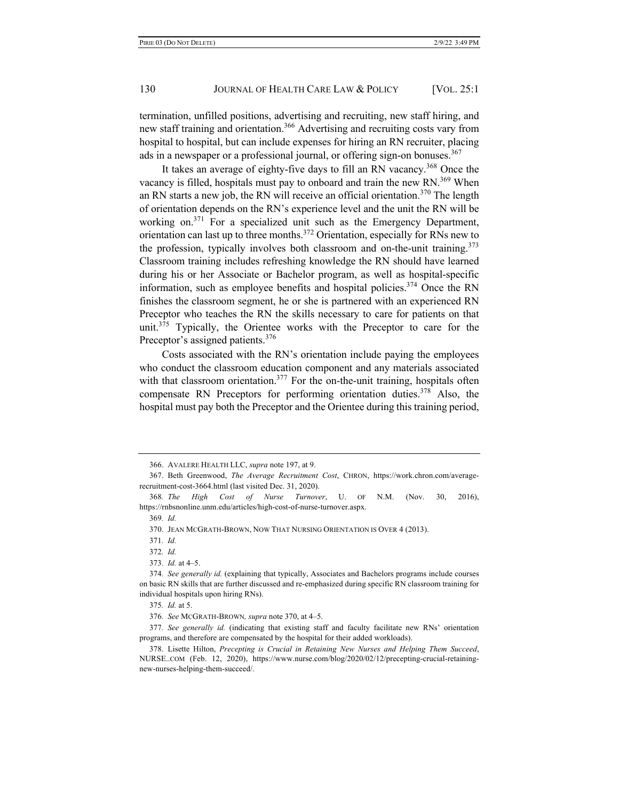termination, unfilled positions, advertising and recruiting, new staff hiring, and new staff training and orientation.<sup>366</sup> Advertising and recruiting costs vary from hospital to hospital, but can include expenses for hiring an RN recruiter, placing ads in a newspaper or a professional journal, or offering sign-on bonuses.<sup>367</sup>

It takes an average of eighty-five days to fill an RN vacancy.<sup>368</sup> Once the vacancy is filled, hospitals must pay to onboard and train the new RN.<sup>369</sup> When an RN starts a new job, the RN will receive an official orientation.<sup>370</sup> The length of orientation depends on the RN's experience level and the unit the RN will be working on.<sup>371</sup> For a specialized unit such as the Emergency Department, orientation can last up to three months.372 Orientation, especially for RNs new to the profession, typically involves both classroom and on-the-unit training.<sup>373</sup> Classroom training includes refreshing knowledge the RN should have learned during his or her Associate or Bachelor program, as well as hospital-specific information, such as employee benefits and hospital policies.<sup>374</sup> Once the RN finishes the classroom segment, he or she is partnered with an experienced RN Preceptor who teaches the RN the skills necessary to care for patients on that unit.<sup>375</sup> Typically, the Orientee works with the Preceptor to care for the Preceptor's assigned patients.<sup>376</sup>

Costs associated with the RN's orientation include paying the employees who conduct the classroom education component and any materials associated with that classroom orientation.<sup>377</sup> For the on-the-unit training, hospitals often compensate RN Preceptors for performing orientation duties.  $378$  Also, the hospital must pay both the Preceptor and the Orientee during this training period,

<sup>366.</sup> AVALERE HEALTH LLC, *supra* note 197, at 9.

<sup>367.</sup> Beth Greenwood, *The Average Recruitment Cost*, CHRON, https://work.chron.com/averagerecruitment-cost-3664.html (last visited Dec. 31, 2020).

<sup>368</sup>*. The High Cost of Nurse Turnover*, U. OF N.M. (Nov. 30, 2016), https://rnbsnonline.unm.edu/articles/high-cost-of-nurse-turnover.aspx.

<sup>369</sup>*. Id.*

<sup>370.</sup> JEAN MCGRATH-BROWN, NOW THAT NURSING ORIENTATION IS OVER 4 (2013).

<sup>371</sup>*. Id.*

<sup>372</sup>*. Id.*

<sup>373</sup>*. Id.* at 4–5.

<sup>374</sup>*. See generally id.* (explaining that typically, Associates and Bachelors programs include courses on basic RN skills that are further discussed and re-emphasized during specific RN classroom training for individual hospitals upon hiring RNs).

<sup>375</sup>*. Id.* at 5.

<sup>376</sup>*. See* MCGRATH-BROWN*, supra* note 370, at 4–5.

<sup>377</sup>*. See generally id.* (indicating that existing staff and faculty facilitate new RNs' orientation programs, and therefore are compensated by the hospital for their added workloads).

<sup>378.</sup> Lisette Hilton, *Precepting is Crucial in Retaining New Nurses and Helping Them Succeed*, NURSE..COM (Feb. 12, 2020), https://www.nurse.com/blog/2020/02/12/precepting-crucial-retainingnew-nurses-helping-them-succeed/.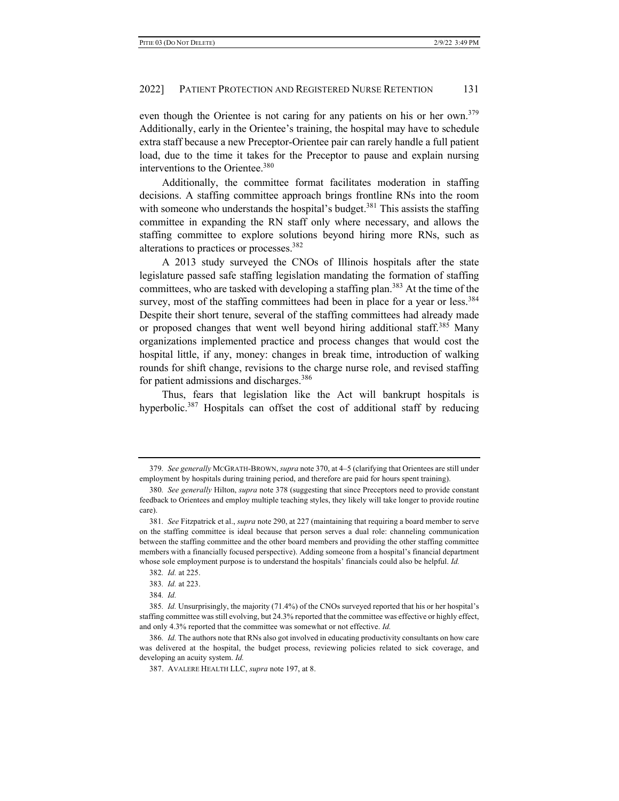even though the Orientee is not caring for any patients on his or her own.<sup>379</sup> Additionally, early in the Orientee's training, the hospital may have to schedule extra staff because a new Preceptor-Orientee pair can rarely handle a full patient load, due to the time it takes for the Preceptor to pause and explain nursing interventions to the Orientee.<sup>380</sup>

Additionally, the committee format facilitates moderation in staffing decisions. A staffing committee approach brings frontline RNs into the room with someone who understands the hospital's budget.<sup>381</sup> This assists the staffing committee in expanding the RN staff only where necessary, and allows the staffing committee to explore solutions beyond hiring more RNs, such as alterations to practices or processes.<sup>382</sup>

A 2013 study surveyed the CNOs of Illinois hospitals after the state legislature passed safe staffing legislation mandating the formation of staffing committees, who are tasked with developing a staffing plan.<sup>383</sup> At the time of the survey, most of the staffing committees had been in place for a year or less.<sup>384</sup> Despite their short tenure, several of the staffing committees had already made or proposed changes that went well beyond hiring additional staff.<sup>385</sup> Many organizations implemented practice and process changes that would cost the hospital little, if any, money: changes in break time, introduction of walking rounds for shift change, revisions to the charge nurse role, and revised staffing for patient admissions and discharges.<sup>386</sup>

Thus, fears that legislation like the Act will bankrupt hospitals is hyperbolic.<sup>387</sup> Hospitals can offset the cost of additional staff by reducing

<sup>379</sup>*. See generally* MCGRATH-BROWN, *supra* note 370, at 4–5 (clarifying that Orientees are still under employment by hospitals during training period, and therefore are paid for hours spent training).

<sup>380</sup>*. See generally* Hilton, *supra* note 378 (suggesting that since Preceptors need to provide constant feedback to Orientees and employ multiple teaching styles, they likely will take longer to provide routine care).

<sup>381</sup>*. See* Fitzpatrick et al., *supra* note 290, at 227 (maintaining that requiring a board member to serve on the staffing committee is ideal because that person serves a dual role: channeling communication between the staffing committee and the other board members and providing the other staffing committee members with a financially focused perspective). Adding someone from a hospital's financial department whose sole employment purpose is to understand the hospitals' financials could also be helpful. *Id.*

<sup>382</sup>*. Id.* at 225.

<sup>383</sup>*. Id.* at 223.

<sup>384</sup>*. Id.*

<sup>385</sup>*. Id.* Unsurprisingly, the majority (71.4%) of the CNOs surveyed reported that his or her hospital's staffing committee was still evolving, but 24.3% reported that the committee was effective or highly effect, and only 4.3% reported that the committee was somewhat or not effective. *Id.*

<sup>386</sup>*. Id.* The authors note that RNs also got involved in educating productivity consultants on how care was delivered at the hospital, the budget process, reviewing policies related to sick coverage, and developing an acuity system. *Id.*

<sup>387.</sup> AVALERE HEALTH LLC, *supra* note 197, at 8.